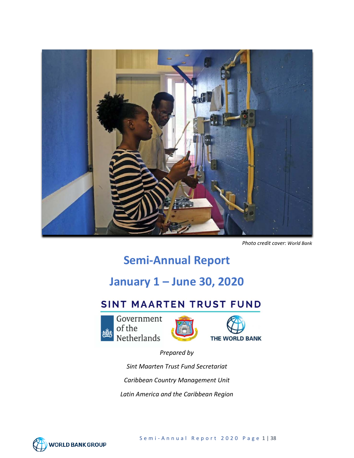

*Photo credit cover: World Bank*

# **Semi-Annual Report**

# **January 1 – June 30, 2020**

# SINT MAARTEN TRUST FUND







*Prepared by Sint Maarten Trust Fund Secretariat Caribbean Country Management Unit Latin America and the Caribbean Region*

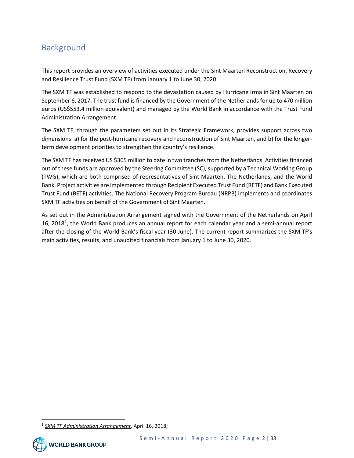# <span id="page-1-1"></span>Background

This report provides an overview of activities executed under the Sint Maarten Reconstruction, Recovery and Resilience Trust Fund (SXM TF) from January 1 to June 30, 2020.

The SXM TF was established to respond to the devastation caused by Hurricane Irma in Sint Maarten on September 6, 2017. The trust fund is financed by the Government of the Netherlands for up to 470 million euros (US\$553.4 million equivalent) and managed by the World Bank in accordance with the Trust Fund Administration Arrangement.

The SXM TF, through the parameters set out in its Strategic Framework, provides support across two dimensions: a) for the post-hurricane recovery and reconstruction of Sint Maarten, and b) for the longerterm development priorities to strengthen the country's resilience.

The SXM TF has received US \$305 million to date in two tranches from the Netherlands. Activities financed out of these funds are approved by the Steering Committee (SC), supported by a Technical Working Group (TWG), which are both comprised of representatives of Sint Maarten, The Netherlands, and the World Bank. Project activities are implemented through Recipient Executed Trust Fund (RETF) and Bank Executed Trust Fund (BETF) activities. The National Recovery Program Bureau (NRPB) implements and coordinates SXM TF activities on behalf of the Government of Sint Maarten.

As set out in the Administration Arrangement signed with the Government of the Netherlands on April [1](#page-1-0)6, 2018<sup>1</sup>, the World Bank produces an annual report for each calendar year and a semi-annual report after the closing of the World Bank's fiscal year (30 June). The current report summarizes the SXM TF's main activities, results, and unaudited financials from January 1 to June 30, 2020.

<span id="page-1-0"></span><sup>1</sup> *SXM TF Administration Arrangement*, April 16, 2018;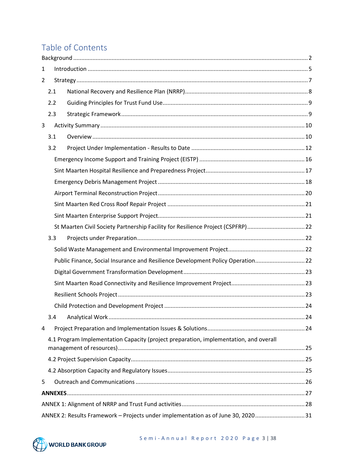# Table of Contents

| 1              |     |                                                                                       |  |  |  |
|----------------|-----|---------------------------------------------------------------------------------------|--|--|--|
| $\overline{2}$ |     |                                                                                       |  |  |  |
|                | 2.1 |                                                                                       |  |  |  |
|                | 2.2 |                                                                                       |  |  |  |
|                | 2.3 |                                                                                       |  |  |  |
| 3              |     |                                                                                       |  |  |  |
|                | 3.1 |                                                                                       |  |  |  |
|                | 3.2 |                                                                                       |  |  |  |
|                |     |                                                                                       |  |  |  |
|                |     |                                                                                       |  |  |  |
|                |     |                                                                                       |  |  |  |
|                |     |                                                                                       |  |  |  |
|                |     |                                                                                       |  |  |  |
|                |     |                                                                                       |  |  |  |
|                |     | St Maarten Civil Society Partnership Facility for Resilience Project (CSPFRP)22       |  |  |  |
|                | 3.3 |                                                                                       |  |  |  |
|                |     |                                                                                       |  |  |  |
|                |     | Public Finance, Social Insurance and Resilience Development Policy Operation 22       |  |  |  |
|                |     |                                                                                       |  |  |  |
|                |     |                                                                                       |  |  |  |
|                |     |                                                                                       |  |  |  |
|                |     |                                                                                       |  |  |  |
|                | 3.4 |                                                                                       |  |  |  |
| 4              |     |                                                                                       |  |  |  |
|                |     | 4.1 Program Implementation Capacity (project preparation, implementation, and overall |  |  |  |
|                |     |                                                                                       |  |  |  |
|                |     |                                                                                       |  |  |  |
| 5              |     |                                                                                       |  |  |  |
|                |     |                                                                                       |  |  |  |
|                |     |                                                                                       |  |  |  |
|                |     | ANNEX 2: Results Framework - Projects under implementation as of June 30, 202031      |  |  |  |

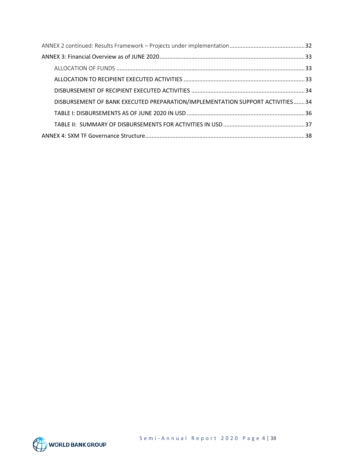| DISBURSEMENT OF BANK EXECUTED PREPARATION/IMPLEMENTATION SUPPORT ACTIVITIES34 |  |  |  |  |
|-------------------------------------------------------------------------------|--|--|--|--|
|                                                                               |  |  |  |  |
|                                                                               |  |  |  |  |
|                                                                               |  |  |  |  |

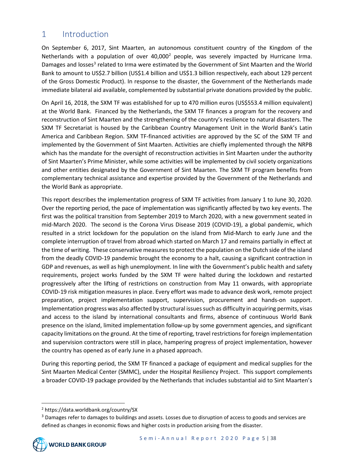## <span id="page-4-0"></span>1 Introduction

On September 6, 2017, Sint Maarten, an autonomous constituent country of the Kingdom of the Netherlands with a population of over  $40,000^2$  $40,000^2$  people, was severely impacted by Hurricane Irma. Damages and losses<sup>3</sup> related to Irma were estimated by the Government of Sint Maarten and the World Bank to amount to US\$2.7 billion (US\$1.4 billion and US\$1.3 billion respectively, each about 129 percent of the Gross Domestic Product). In response to the disaster, the Government of the Netherlands made immediate bilateral aid available, complemented by substantial private donations provided by the public.

On April 16, 2018, the SXM TF was established for up to 470 million euros (US\$553.4 million equivalent) at the World Bank. Financed by the Netherlands, the SXM TF finances a program for the recovery and reconstruction of Sint Maarten and the strengthening of the country's resilience to natural disasters. The SXM TF Secretariat is housed by the Caribbean Country Management Unit in the World Bank's Latin America and Caribbean Region. SXM TF-financed activities are approved by the SC of the SXM TF and implemented by the Government of Sint Maarten. Activities are chiefly implemented through the NRPB which has the mandate for the oversight of reconstruction activities in Sint Maarten under the authority of Sint Maarten's Prime Minister, while some activities will be implemented by civil society organizations and other entities designated by the Government of Sint Maarten. The SXM TF program benefits from complementary technical assistance and expertise provided by the Government of the Netherlands and the World Bank as appropriate.

This report describes the implementation progress of SXM TF activities from January 1 to June 30, 2020. Over the reporting period, the pace of implementation was significantly affected by two key events. The first was the political transition from September 2019 to March 2020, with a new government seated in mid-March 2020. The second is the Corona Virus Disease 2019 (COVID-19), a global pandemic, which resulted in a strict lockdown for the population on the island from Mid-March to early June and the complete interruption of travel from abroad which started on March 17 and remains partially in effect at the time of writing. These conservative measures to protect the population on the Dutch side of the island from the deadly COVID-19 pandemic brought the economy to a halt, causing a significant contraction in GDP and revenues, as well as high unemployment. In line with the Government's public health and safety requirements, project works funded by the SXM TF were halted during the lockdown and restarted progressively after the lifting of restrictions on construction from May 11 onwards, with appropriate COVID-19 risk mitigation measures in place. Every effort was made to advance desk work, remote project preparation, project implementation support, supervision, procurement and hands-on support. Implementation progress was also affected by structural issues such as difficulty in acquiring permits, visas and access to the island by international consultants and firms, absence of continuous World Bank presence on the island, limited implementation follow-up by some government agencies, and significant capacity limitations on the ground. At the time of reporting, travel restrictions for foreign implementation and supervision contractors were still in place, hampering progress of project implementation, however the country has opened as of early June in a phased approach.

During this reporting period, the SXM TF financed a package of equipment and medical supplies for the Sint Maarten Medical Center (SMMC), under the Hospital Resiliency Project. This support complements a broader COVID-19 package provided by the Netherlands that includes substantial aid to Sint Maarten's

<span id="page-4-1"></span><sup>2</sup> https://data.worldbank.org/country/SX

<span id="page-4-2"></span><sup>&</sup>lt;sup>3</sup> Damages refer to damages to buildings and assets. Losses due to disruption of access to goods and services are defined as changes in economic flows and higher costs in production arising from the disaster.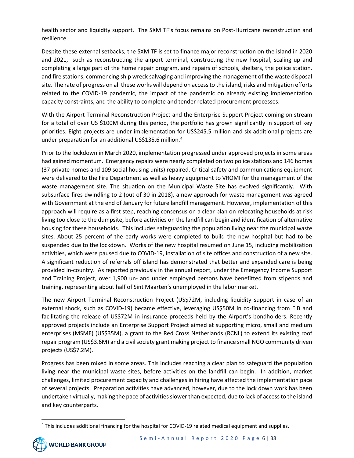health sector and liquidity support. The SXM TF's focus remains on Post-Hurricane reconstruction and resilience.

Despite these external setbacks, the SXM TF is set to finance major reconstruction on the island in 2020 and 2021, such as reconstructing the airport terminal, constructing the new hospital, scaling up and completing a large part of the home repair program, and repairs of schools, shelters, the police station, and fire stations, commencing ship wreck salvaging and improving the management of the waste disposal site. The rate of progress on all these works will depend on access to the island, risks and mitigation efforts related to the COVID-19 pandemic, the impact of the pandemic on already existing implementation capacity constraints, and the ability to complete and tender related procurement processes.

With the Airport Terminal Reconstruction Project and the Enterprise Support Project coming on stream for a total of over US \$100M during this period, the portfolio has grown significantly in support of key priorities. Eight projects are under implementation for US\$245.5 million and six additional projects are under preparation for an additional US\$135.6 million.<sup>[4](#page-5-0)</sup>

Prior to the lockdown in March 2020, implementation progressed under approved projects in some areas had gained momentum. Emergency repairs were nearly completed on two police stations and 146 homes (37 private homes and 109 social housing units) repaired. Critical safety and communications equipment were delivered to the Fire Department as well as heavy equipment to VROMI for the management of the waste management site. The situation on the Municipal Waste Site has evolved significantly. With subsurface fires dwindling to 2 (out of 30 in 2018), a new approach for waste management was agreed with Government at the end of January for future landfill management. However, implementation of this approach will require as a first step, reaching consensus on a clear plan on relocating households at risk living too close to the dumpsite, before activities on the landfill can begin and identification of alternative housing for these households. This includes safeguarding the population living near the municipal waste sites. About 25 percent of the early works were completed to build the new hospital but had to be suspended due to the lockdown. Works of the new hospital resumed on June 15, including mobilization activities, which were paused due to COVID-19, installation of site offices and construction of a new site. A significant reduction of referrals off island has demonstrated that better and expanded care is being provided in-country. As reported previously in the annual report, under the Emergency Income Support and Training Project, over 1,900 un- and under employed persons have benefitted from stipends and training, representing about half of Sint Maarten's unemployed in the labor market.

The new Airport Terminal Reconstruction Project (US\$72M, including liquidity support in case of an external shock, such as COVID-19) became effective, leveraging US\$50M in co-financing from EIB and facilitating the release of US\$72M in insurance proceeds held by the Airport's bondholders. Recently approved projects include an Enterprise Support Project aimed at supporting micro, small and medium enterprises (MSME) (US\$35M), a grant to the Red Cross Netherlands (RCNL) to extend its existing roof repair program (US\$3.6M) and a civil society grant making project to finance small NGO community driven projects (US\$7.2M).

Progress has been mixed in some areas. This includes reaching a clear plan to safeguard the population living near the municipal waste sites, before activities on the landfill can begin. In addition, market challenges, limited procurement capacity and challenges in hiring have affected the implementation pace of several projects. Preparation activities have advanced, however, due to the lock down work has been undertaken virtually, making the pace of activities slower than expected, due to lack of access to the island and key counterparts.

<span id="page-5-0"></span><sup>&</sup>lt;sup>4</sup> This includes additional financing for the hospital for COVID-19 related medical equipment and supplies.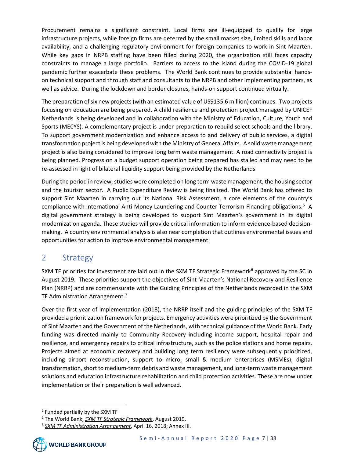Procurement remains a significant constraint. Local firms are ill-equipped to qualify for large infrastructure projects, while foreign firms are deterred by the small market size, limited skills and labor availability, and a challenging regulatory environment for foreign companies to work in Sint Maarten. While key gaps in NRPB staffing have been filled during 2020, the organization still faces capacity constraints to manage a large portfolio. Barriers to access to the island during the COVID-19 global pandemic further exacerbate these problems. The World Bank continues to provide substantial handson technical support and through staff and consultants to the NRPB and other implementing partners, as well as advice. During the lockdown and border closures, hands-on support continued virtually.

The preparation of six new projects(with an estimated value of US\$135.6 million) continues. Two projects focusing on education are being prepared. A child resilience and protection project managed by UNICEF Netherlands is being developed and in collaboration with the Ministry of Education, Culture, Youth and Sports (MECYS). A complementary project is under preparation to rebuild select schools and the library. To support government modernization and enhance access to and delivery of public services, a digital transformation project is being developed with the Ministry of General Affairs. A solid waste management project is also being considered to improve long term waste management. A road connectivity project is being planned. Progress on a budget support operation being prepared has stalled and may need to be re-assessed in light of bilateral liquidity support being provided by the Netherlands.

During the period in review, studies were completed on long term waste management, the housing sector and the tourism sector. A Public Expenditure Review is being finalized. The World Bank has offered to support Sint Maarten in carrying out its National Risk Assessment, a core elements of the country's compliance with international Anti-Money Laundering and Counter Terrorism Financing obligations.<sup>[5](#page-6-1)</sup> A digital government strategy is being developed to support Sint Maarten's government in its digital modernization agenda. These studies will provide critical information to inform evidence-based decisionmaking. A country environmental analysis is also near completion that outlines environmental issues and opportunities for action to improve environmental management.

## <span id="page-6-0"></span>2 Strategy

SXM TF priorities for investment are laid out in the SXM TF Strategic Framework<sup>6</sup> approved by the SC in August 2019. These priorities support the objectives of Sint Maarten's National Recovery and Resilience Plan (NRRP) and are commensurate with the Guiding Principles of the Netherlands recorded in the SXM TF Administration Arrangement.<sup>[7](#page-6-3)</sup>

Over the first year of implementation (2018), the NRRP itself and the guiding principles of the SXM TF provided a prioritization framework for projects. Emergency activities were prioritized by the Government of Sint Maarten and the Government of the Netherlands, with technical guidance of the World Bank. Early funding was directed mainly to Community Recovery including income support, hospital repair and resilience, and emergency repairs to critical infrastructure, such as the police stations and home repairs. Projects aimed at economic recovery and building long term resiliency were subsequently prioritized, including airport reconstruction, support to micro, small & medium enterprises (MSMEs), digital transformation, short to medium-term debris and waste management, and long-term waste management solutions and education infrastructure rehabilitation and child protection activities. These are now under implementation or their preparation is well advanced.

<span id="page-6-1"></span><sup>5</sup> Funded partially by the SXM TF

<span id="page-6-3"></span><span id="page-6-2"></span><sup>6</sup> The World Bank, *SXM TF Strategic Framework*, August 2019. 7 *SXM TF Administration Arrangement*, April 16, 2018; Annex III.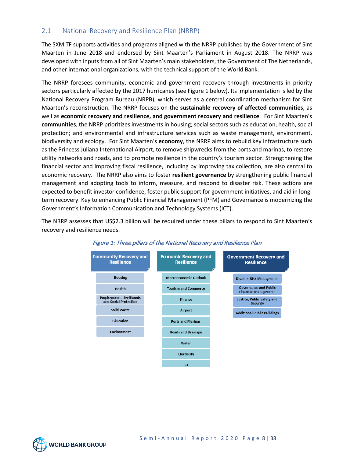## <span id="page-7-0"></span>2.1 National Recovery and Resilience Plan (NRRP)

The SXM TF supports activities and programs aligned with the NRRP published by the Government of Sint Maarten in June 2018 and endorsed by Sint Maarten's Parliament in August 2018. The NRRP was developed with inputs from all of Sint Maarten's main stakeholders, the Government of The Netherlands, and other international organizations, with the technical support of the World Bank.

The NRRP foresees community, economic and government recovery through investments in priority sectors particularly affected by the 2017 hurricanes (see Figure 1 below). Its implementation is led by the National Recovery Program Bureau (NRPB), which serves as a central coordination mechanism for Sint Maarten's reconstruction. The NRRP focuses on the **sustainable recovery of affected communities**, as well as **economic recovery and resilience, and government recovery and resilience**. For Sint Maarten's **communities**, the NRRP prioritizes investments in housing; social sectors such as education, health, social protection; and environmental and infrastructure services such as waste management, environment, biodiversity and ecology. For Sint Maarten's **economy**, the NRRP aims to rebuild key infrastructure such as the Princess Juliana International Airport, to remove shipwrecks from the ports and marinas, to restore utility networks and roads, and to promote resilience in the country's tourism sector. Strengthening the financial sector and improving fiscal resilience, including by improving tax collection, are also central to economic recovery. The NRRP also aims to foster **resilient governance** by strengthening public financial management and adopting tools to inform, measure, and respond to disaster risk. These actions are expected to benefit investor confidence, foster public support for government initiatives, and aid in longterm recovery. Key to enhancing Public Financial Management (PFM) and Governance is modernizing the Government's Information Communication and Technology Systems (ICT).

The NRRP assesses that US\$2.3 billion will be required under these pillars to respond to Sint Maarten's recovery and resilience needs.



#### Figure 1: Three pillars of the National Recovery and Resilience Plan

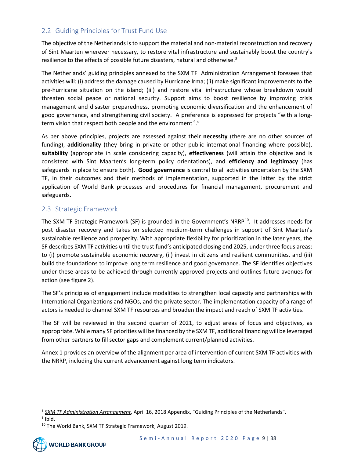## <span id="page-8-0"></span>2.2 Guiding Principles for Trust Fund Use

The objective of the Netherlands is to support the material and non-material reconstruction and recovery of Sint Maarten wherever necessary, to restore vital infrastructure and sustainably boost the country's resilience to the effects of possible future disasters, natural and otherwise.<sup>[8](#page-8-2)</sup>

The Netherlands' guiding principles annexed to the SXM TF Administration Arrangement foresees that activities will: (i) address the damage caused by Hurricane Irma; (ii) make significant improvements to the pre-hurricane situation on the island; (iii) and restore vital infrastructure whose breakdown would threaten social peace or national security. Support aims to boost resilience by improving crisis management and disaster preparedness, promoting economic diversification and the enhancement of good governance, and strengthening civil society. A preference is expressed for projects "with a long-term vision that respect both people and the environment <sup>[9](#page-8-3)</sup>."

As per above principles, projects are assessed against their **necessity** (there are no other sources of funding), **additionality** (they bring in private or other public international financing where possible), **suitability** (appropriate in scale considering capacity), **effectiveness** (will attain the objective and is consistent with Sint Maarten's long-term policy orientations), and **efficiency and legitimacy** (has safeguards in place to ensure both). **Good governance** is central to all activities undertaken by the SXM TF, in their outcomes and their methods of implementation, supported in the latter by the strict application of World Bank processes and procedures for financial management, procurement and safeguards.

### <span id="page-8-1"></span>2.3 Strategic Framework

The SXM TF Strategic Framework (SF) is grounded in the Government's NRRP<sup>[10](#page-8-4)</sup>. It addresses needs for post disaster recovery and takes on selected medium-term challenges in support of Sint Maarten's sustainable resilience and prosperity. With appropriate flexibility for prioritization in the later years, the SF describes SXM TF activities until the trust fund's anticipated closing end 2025, under three focus areas: to (i) promote sustainable economic recovery, (ii) invest in citizens and resilient communities, and (iii) build the foundations to improve long term resilience and good governance. The SF identifies objectives under these areas to be achieved through currently approved projects and outlines future avenues for action (see figure 2).

The SF's principles of engagement include modalities to strengthen local capacity and partnerships with International Organizations and NGOs, and the private sector. The implementation capacity of a range of actors is needed to channel SXM TF resources and broaden the impact and reach of SXM TF activities.

The SF will be reviewed in the second quarter of 2021, to adjust areas of focus and objectives, as appropriate. While many SF priorities will be financed by the SXM TF, additional financing will be leveraged from other partners to fill sector gaps and complement current/planned activities.

Annex 1 provides an overview of the alignment per area of intervention of current SXM TF activities with the NRRP, including the current advancement against long term indicators.

<span id="page-8-2"></span><sup>8</sup> *SXM TF Administration Arrangement*, April 16, 2018 Appendix, "Guiding Principles of the Netherlands".

<span id="page-8-3"></span> $9$  Ibid.

<span id="page-8-4"></span><sup>&</sup>lt;sup>10</sup> The World Bank, SXM TF Strategic Framework, August 2019.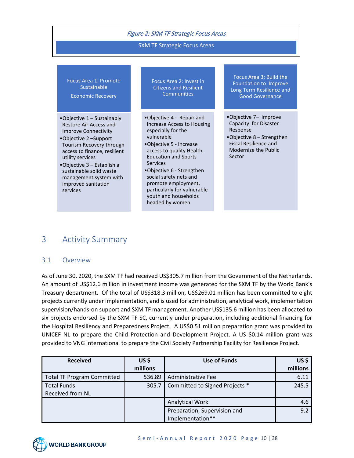|  |  | <b>Figure 2: SXM TF Strategic Focus Areas</b> |
|--|--|-----------------------------------------------|
|--|--|-----------------------------------------------|

#### SXM TF Strategic Focus Areas

| Focus Area 1: Promote    |  |
|--------------------------|--|
| Sustainable <sup>'</sup> |  |

Economic Recovery

- •Objective 1 Sustainably Restore Air Access and Improve Connectivity
- •Objective 2 –Support Tourism Recovery through access to finance, resilient utility services
- •Objective 3 Establish a sustainable solid waste management system with improved sanitation services

Focus Area 2: Invest in Citizens and Resilient **Communities** 

•Objective 4 - Repair and Increase Access to Housing especially for the vulnerable

- •Objective 5 Increase access to quality Health, Education and Sports Services
- •Objective 6 Strengthen social safety nets and promote employment, particularly for vulnerable youth and households headed by women

Focus Area 3: Build the Foundation to Improve Long Term Resilience and Good Governance

- •Objective 7– Improve Capacity for Disaster Response
- •Objective 8 Strengthen Fiscal Resilience and Modernize the Public Sector

## <span id="page-9-0"></span>3 Activity Summary

#### <span id="page-9-1"></span>3.1 Overview

As of June 30, 2020, the SXM TF had received US\$305.7 million from the Government of the Netherlands. An amount of US\$12.6 million in investment income was generated for the SXM TF by the World Bank's Treasury department. Of the total of US\$318.3 million, US\$269.01 million has been committed to eight projects currently under implementation, and is used for administration, analytical work, implementation supervision/hands-on support and SXM TF management. Another US\$135.6 million has been allocated to six projects endorsed by the SXM TF SC, currently under preparation, including additional financing for the Hospital Resiliency and Preparedness Project. A US\$0.51 million preparation grant was provided to UNICEF NL to prepare the Child Protection and Development Project. A US \$0.14 million grant was provided to VNG International to prepare the Civil Society Partnership Facility for Resilience Project.

| <b>Received</b>                                        | US\$<br>millions | Use of Funds                                     | US\$<br>millions |
|--------------------------------------------------------|------------------|--------------------------------------------------|------------------|
| <b>Total TF Program Committed</b>                      | 536.89           | Administrative Fee                               | 6.11             |
| <b>Total Funds</b><br>305.7<br><b>Received from NL</b> |                  | Committed to Signed Projects *                   | 245.5            |
|                                                        |                  | <b>Analytical Work</b>                           | 4.6              |
|                                                        |                  | Preparation, Supervision and<br>Implementation** | 9.2              |

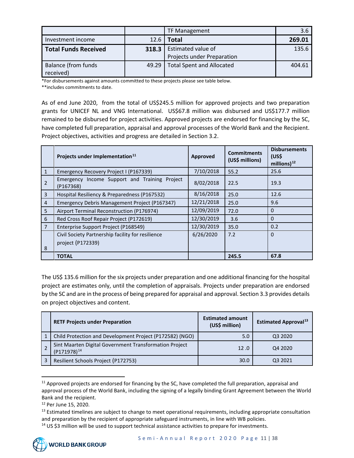|                                         |       | <b>TF Management</b>                             | 3.6    |
|-----------------------------------------|-------|--------------------------------------------------|--------|
| Investment income                       | 12.6  | Total                                            | 269.01 |
| <b>Total Funds Received</b>             | 318.3 | Estimated value of<br>Projects under Preparation | 135.6  |
| <b>Balance (from funds</b><br>received) | 49.29 | <b>Total Spent and Allocated</b>                 | 404.61 |

\*For disbursements against amounts committed to these projects please see table below.

\*\*includes commitments to date.

As of end June 2020, from the total of US\$245.5 million for approved projects and two preparation grants for UNICEF NL and VNG International. US\$67.8 million was disbursed and US\$177.7 million remained to be disbursed for project activities. Approved projects are endorsed for financing by the SC, have completed full preparation, appraisal and approval processes of the World Bank and the Recipient. Project objectives, activities and progress are detailed in Section 3.2.

|                | Projects under Implementation <sup>11</sup>                            | Approved   | <b>Commitments</b><br>(US\$ millions) | <b>Disbursements</b><br>(US\$<br>millions) $^{12}$ |
|----------------|------------------------------------------------------------------------|------------|---------------------------------------|----------------------------------------------------|
| 1              | Emergency Recovery Project I (P167339)                                 | 7/10/2018  | 55.2                                  | 25.6                                               |
| $\overline{2}$ | Emergency Income Support and Training Project<br>(P167368)             | 8/02/2018  | 22.5                                  | 19.3                                               |
| $\overline{3}$ | Hospital Resiliency & Preparedness (P167532)                           | 8/16/2018  | 25.0                                  | 12.6                                               |
| $\overline{4}$ | Emergency Debris Management Project (P167347)                          | 12/21/2018 | 25.0                                  | 9.6                                                |
| 5              | Airport Terminal Reconstruction (P176974)                              | 12/09/2019 | 72.0                                  | $\mathbf 0$                                        |
| 6              | Red Cross Roof Repair Project (P172619)                                | 12/30/2019 | 3.6                                   | $\Omega$                                           |
| $\overline{7}$ | Enterprise Support Project (P168549)                                   | 12/30/2019 | 35.0                                  | 0.2                                                |
| 8              | Civil Society Partnership facility for resilience<br>project (P172339) | 6/26/2020  | 7.2                                   | $\Omega$                                           |
|                | <b>TOTAL</b>                                                           |            | 245.5                                 | 67.8                                               |

The US\$ 135.6 million for the six projects under preparation and one additional financing for the hospital project are estimates only, until the completion of appraisals. Projects under preparation are endorsed by the SC and are in the process of being prepared for appraisal and approval. Section 3.3 provides details on project objectives and content.

| <b>RETF Projects under Preparation</b>                                     | <b>Estimated amount</b><br>(US\$ million) | <b>Estimated Approval</b> <sup>13</sup> |
|----------------------------------------------------------------------------|-------------------------------------------|-----------------------------------------|
| Child Protection and Development Project (P172582) (NGO)                   | 5.0                                       | Q3 2020                                 |
| Sint Maarten Digital Government Transformation Project<br>$(P171978)^{14}$ | 12.0                                      | Q4 2020                                 |
| Resilient Schools Project (P172753)                                        | 30.0                                      | 03 2021                                 |

<span id="page-10-0"></span><sup>&</sup>lt;sup>11</sup> Approved projects are endorsed for financing by the SC, have completed the full preparation, appraisal and approval process of the World Bank, including the signing of a legally binding Grant Agreement between the World Bank and the recipient.

<span id="page-10-1"></span><sup>12</sup> Per June 15, 2020.

<span id="page-10-2"></span> $13$  Estimated timelines are subject to change to meet operational requirements, including appropriate consultation and preparation by the recipient of appropriate safeguard instruments, in line with WB policies.

<span id="page-10-3"></span><sup>&</sup>lt;sup>14</sup> US \$3 million will be used to support technical assistance activities to prepare for investments.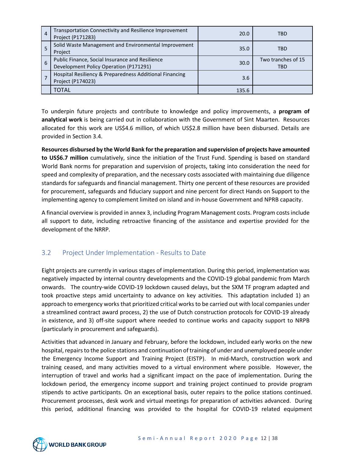| $\overline{4}$ | Transportation Connectivity and Resilience Improvement<br>Project (P171283)               | 20.0  | TBD                              |
|----------------|-------------------------------------------------------------------------------------------|-------|----------------------------------|
| 5              | Solid Waste Management and Environmental Improvement<br>Project                           | 35.0  | <b>TBD</b>                       |
| 6              | Public Finance, Social Insurance and Resilience<br>Development Policy Operation (P171291) | 30.0  | Two tranches of 15<br><b>TBD</b> |
| 7              | Hospital Resiliency & Preparedness Additional Financing<br>Project (P174023)              | 3.6   |                                  |
|                | <b>TOTAL</b>                                                                              | 135.6 |                                  |

To underpin future projects and contribute to knowledge and policy improvements, a **program of analytical work** is being carried out in collaboration with the Government of Sint Maarten. Resources allocated for this work are US\$4.6 million, of which US\$2.8 million have been disbursed. Details are provided in Section 3.4.

**Resources disbursed by the World Bank for the preparation and supervision of projects have amounted to US\$6.7 million** cumulatively, since the initiation of the Trust Fund. Spending is based on standard World Bank norms for preparation and supervision of projects, taking into consideration the need for speed and complexity of preparation, and the necessary costs associated with maintaining due diligence standards for safeguards and financial management. Thirty one percent of these resources are provided for procurement, safeguards and fiduciary support and nine percent for direct Hands on Support to the implementing agency to complement limited on island and in-house Government and NPRB capacity.

A financial overview is provided in annex 3, including Program Management costs. Program costs include all support to date, including retroactive financing of the assistance and expertise provided for the development of the NRRP.

### <span id="page-11-0"></span>3.2 Project Under Implementation - Results to Date

Eight projects are currently in various stages of implementation. During this period, implementation was negatively impacted by internal country developments and the COVID-19 global pandemic from March onwards. The country-wide COVID-19 lockdown caused delays, but the SXM TF program adapted and took proactive steps amid uncertainty to advance on key activities. This adaptation included 1) an approach to emergency works that prioritized critical works to be carried out with local companies under a streamlined contract award process, 2) the use of Dutch construction protocols for COVID-19 already in existence, and 3) off-site support where needed to continue works and capacity support to NRPB (particularly in procurement and safeguards).

Activities that advanced in January and February, before the lockdown, included early works on the new hospital, repairs to the police stations and continuation of training of under and unemployed people under the Emergency Income Support and Training Project (EISTP). In mid-March, construction work and training ceased, and many activities moved to a virtual environment where possible. However, the interruption of travel and works had a significant impact on the pace of implementation. During the lockdown period, the emergency income support and training project continued to provide program stipends to active participants. On an exceptional basis, outer repairs to the police stations continued. Procurement processes, desk work and virtual meetings for preparation of activities advanced. During this period, additional financing was provided to the hospital for COVID-19 related equipment

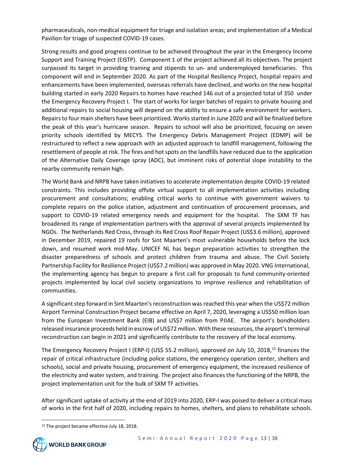pharmaceuticals, non-medical equipment for triage and isolation areas; and implementation of a Medical Pavilion for triage of suspected COVID-19 cases.

Strong results and good progress continue to be achieved throughout the year in the Emergency Income Support and Training Project (EISTP). Component 1 of the project achieved all its objectives. The project surpassed its target in providing training and stipends to un- and underemployed beneficiaries. This component will end in September 2020. As part of the Hospital Resiliency Project, hospital repairs and enhancements have been implemented, overseas referrals have declined, and works on the new hospital building started in early 2020 Repairs to homes have reached 146 out of a projected total of 350 under the Emergency Recovery Project I. The start of works for larger batches of repairs to private housing and additional repairs to social housing will depend on the ability to ensure a safe environment for workers. Repairs to four main shelters have been prioritized. Works started in June 2020 and will be finalized before the peak of this year's hurricane season. Repairs to school will also be prioritized, focusing on seven priority schools identified by MECYS. The Emergency Debris Management Project (EDMP) will be restructured to reflect a new approach with an adjusted approach to landfill management, following the resettlement of people at risk. The fires and hot spots on the landfills have reduced due to the application of the Alternative Daily Coverage spray (ADC), but imminent risks of potential slope instability to the nearby community remain high.

The World Bank and NRPB have taken initiatives to accelerate implementation despite COVID-19 related constraints. This includes providing offsite virtual support to all implementation activities including procurement and consultations; enabling critical works to continue with government waivers to complete repairs on the police station, adjustment and continuation of procurement processes, and support to COVID-19 related emergency needs and equipment for the hospital. The SXM TF has broadened its range of implementation partners with the approval of several projects implemented by NGOs. The Netherlands Red Cross, through its Red Cross Roof Repair Project (US\$3.6 million), approved in December 2019, repaired 19 roofs for Sint Maarten's most vulnerable households before the lock down, and resumed work mid-May. UNICEF NL has begun preparation activities to strengthen the disaster preparedness of schools and protect children from trauma and abuse. The Civil Society Partnership Facility for Resilience Project (US\$7.2 million) was approved in May 2020. VNG International, the implementing agency has begun to prepare a first call for proposals to fund community-oriented projects implemented by local civil society organizations to improve resilience and rehabilitation of communities.

A significant step forward in Sint Maarten's reconstruction was reached this year when the US\$72 million Airport Terminal Construction Project became effective on April 7, 2020, leveraging a US\$50 million loan from the European Investment Bank (EIB) and US\$7 million from PJIAE. The airport's bondholders released insurance proceeds held in escrow of US\$72 million. With these resources, the airport's terminal reconstruction can begin in 2021 and significantly contribute to the recovery of the local economy.

The Emergency Recovery Project I (ERP-I) (US\$ 55.2 million), approved on July 10, 2018,<sup>15</sup> finances the repair of critical infrastructure (including police stations, the emergency operation center, shelters and schools), social and private housing, procurement of emergency equipment, the increased resilience of the electricity and water system, and training. The project also finances the functioning of the NRPB, the project implementation unit for the bulk of SXM TF activities.

After significant uptake of activity at the end of 2019 into 2020, ERP-I was poised to deliver a critical mass of works in the first half of 2020, including repairs to homes, shelters, and plans to rehabilitate schools.

<span id="page-12-0"></span><sup>&</sup>lt;sup>15</sup> The project became effective July 18, 2018.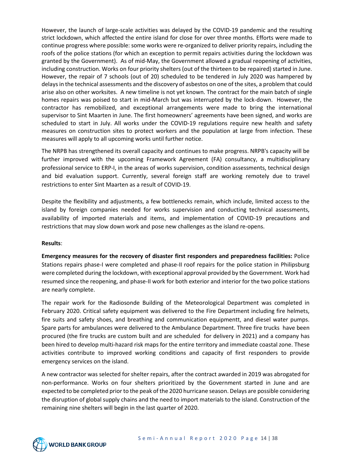However, the launch of large-scale activities was delayed by the COVID-19 pandemic and the resulting strict lockdown, which affected the entire island for close for over three months. Efforts were made to continue progress where possible: some works were re-organized to deliver priority repairs, including the roofs of the police stations (for which an exception to permit repairs activities during the lockdown was granted by the Government). As of mid-May, the Government allowed a gradual reopening of activities, including construction. Works on four priority shelters (out of the thirteen to be repaired) started in June. However, the repair of 7 schools (out of 20) scheduled to be tendered in July 2020 was hampered by delays in the technical assessments and the discovery of asbestos on one of the sites, a problem that could arise also on other worksites. A new timeline is not yet known. The contract for the main batch of single homes repairs was poised to start in mid-March but was interrupted by the lock-down. However, the contractor has remobilized, and exceptional arrangements were made to bring the international supervisor to Sint Maarten in June. The first homeowners' agreements have been signed, and works are scheduled to start in July. All works under the COVID-19 regulations require new health and safety measures on construction sites to protect workers and the population at large from infection. These measures will apply to all upcoming works until further notice.

The NRPB has strengthened its overall capacity and continues to make progress. NRPB's capacity will be further improved with the upcoming Framework Agreement (FA) consultancy, a multidisciplinary professional service to ERP-I, in the areas of works supervision, condition assessments, technical design and bid evaluation support. Currently, several foreign staff are working remotely due to travel restrictions to enter Sint Maarten as a result of COVID-19.

Despite the flexibility and adjustments, a few bottlenecks remain, which include, limited access to the island by foreign companies needed for works supervision and conducting technical assessments, availability of imported materials and items, and implementation of COVID-19 precautions and restrictions that may slow down work and pose new challenges as the island re-opens.

#### **Results**:

**Emergency measures for the recovery of disaster first responders and preparedness facilities:** Police Stations repairs phase-I were completed and phase-II roof repairs for the police station in Philipsburg were completed during the lockdown, with exceptional approval provided by the Government. Work had resumed since the reopening, and phase-II work for both exterior and interior for the two police stations are nearly complete.

The repair work for the Radiosonde Building of the Meteorological Department was completed in February 2020. Critical safety equipment was delivered to the Fire Department including fire helmets, fire suits and safety shoes, and breathing and communication equipmentt, and diesel water pumps. Spare parts for ambulances were delivered to the Ambulance Department. Three fire trucks have been procured (the fire trucks are custom built and are scheduled for delivery in 2021) and a company has been hired to develop multi-hazard risk maps for the entire territory and immediate coastal zone. These activities contribute to improved working conditions and capacity of first responders to provide emergency services on the island.

A new contractor was selected for shelter repairs, after the contract awarded in 2019 was abrogated for non-performance. Works on four shelters prioritized by the Government started in June and are expected to be completed prior to the peak of the 2020 hurricane season. Delays are possible considering the disruption of global supply chains and the need to import materials to the island. Construction of the remaining nine shelters will begin in the last quarter of 2020.

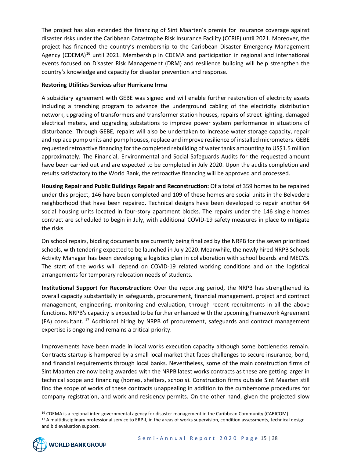The project has also extended the financing of Sint Maarten's premia for insurance coverage against disaster risks under the Caribbean Catastrophe Risk Insurance Facility (CCRIF) until 2021. Moreover, the project has financed the country's membership to the Caribbean Disaster Emergency Management Agency (CDEMA)<sup>[16](#page-14-0)</sup> until 2021. Membership in CDEMA and participation in regional and international events focused on Disaster Risk Management (DRM) and resilience building will help strengthen the country's knowledge and capacity for disaster prevention and response.

#### **Restoring Utilities Services after Hurricane Irma**

A subsidiary agreement with GEBE was signed and will enable further restoration of electricity assets including a trenching program to advance the underground cabling of the electricity distribution network, upgrading of transformers and transformer station houses, repairs of street lighting, damaged electrical meters, and upgrading substations to improve power system performance in situations of disturbance. Through GEBE, repairs will also be undertaken to increase water storage capacity, repair and replace pump units and pump houses, replace and improve resilience of installed micrometers. GEBE requested retroactive financing for the completed rebuilding of water tanks amounting to US\$1.5 million approximately. The Financial, Environmental and Social Safeguards Audits for the requested amount have been carried out and are expected to be completed in July 2020. Upon the audits completion and results satisfactory to the World Bank, the retroactive financing will be approved and processed.

**Housing Repair and Public Buildings Repair and Reconstruction:** Of a total of 359 homes to be repaired under this project, 146 have been completed and 109 of these homes are social units in the Belvedere neighborhood that have been repaired. Technical designs have been developed to repair another 64 social housing units located in four-story apartment blocks. The repairs under the 146 single homes contract are scheduled to begin in July, with additional COVID-19 safety measures in place to mitigate the risks.

On school repairs, bidding documents are currently being finalized by the NRPB for the seven prioritized schools, with tendering expected to be launched in July 2020. Meanwhile, the newly hired NRPB Schools Activity Manager has been developing a logistics plan in collaboration with school boards and MECYS. The start of the works will depend on COVID-19 related working conditions and on the logistical arrangements for temporary relocation needs of students.

**Institutional Support for Reconstruction:** Over the reporting period, the NRPB has strengthened its overall capacity substantially in safeguards, procurement, financial management, project and contract management, engineering, monitoring and evaluation, through recent recruitments in all the above functions. NRPB's capacity is expected to be further enhanced with the upcoming Framework Agreement (FA) consultant. [17](#page-14-1) Additional hiring by NRPB of procurement, safeguards and contract management expertise is ongoing and remains a critical priority.

Improvements have been made in local works execution capacity although some bottlenecks remain. Contracts startup is hampered by a small local market that faces challenges to secure insurance, bond, and financial requirements through local banks. Nevertheless, some of the main construction firms of Sint Maarten are now being awarded with the NRPB latest works contracts as these are getting larger in technical scope and financing (homes, shelters, schools). Construction firms outside Sint Maarten still find the scope of works of these contracts unappealing in addition to the cumbersome procedures for company registration, and work and residency permits. On the other hand, given the projected slow

<span id="page-14-0"></span><sup>&</sup>lt;sup>16</sup> CDEMA is a regional inter-governmental agency for disaster management in the Caribbean Community (CARICOM). 17 A multidisciplinary professional service to ERP-I, in the areas of works supervision, condition assessments, technical design

<span id="page-14-1"></span>and bid evaluation support.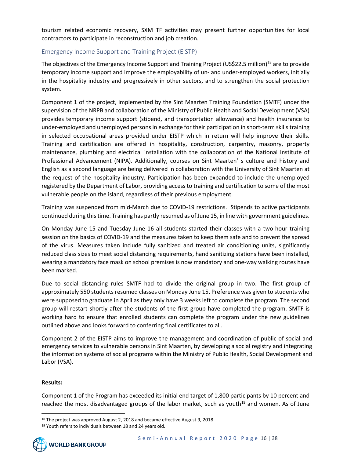tourism related economic recovery, SXM TF activities may present further opportunities for local contractors to participate in reconstruction and job creation.

#### <span id="page-15-0"></span>Emergency Income Support and Training Project (EISTP)

The objectives of the Emergency Income Support and Training Project (US\$22.5 million)<sup>[18](#page-15-1)</sup> are to provide temporary income support and improve the employability of un- and under-employed workers, initially in the hospitality industry and progressively in other sectors, and to strengthen the social protection system.

Component 1 of the project, implemented by the Sint Maarten Training Foundation (SMTF) under the supervision of the NRPB and collaboration of the Ministry of Public Health and Social Development (VSA) provides temporary income support (stipend, and transportation allowance) and health insurance to under-employed and unemployed persons in exchange for their participation in short-term skills training in selected occupational areas provided under EISTP which in return will help improve their skills. Training and certification are offered in hospitality, construction, carpentry, masonry, property maintenance, plumbing and electrical installation with the collaboration of the National Institute of Professional Advancement (NIPA). Additionally, courses on Sint Maarten' s culture and history and English as a second language are being delivered in collaboration with the University of Sint Maarten at the request of the hospitality industry. Participation has been expanded to include the unemployed registered by the Department of Labor, providing access to training and certification to some of the most vulnerable people on the island, regardless of their previous employment.

Training was suspended from mid-March due to COVID-19 restrictions. Stipends to active participants continued during this time. Training has partly resumed as of June 15, in line with government guidelines.

On Monday June 15 and Tuesday June 16 all students started their classes with a two-hour training session on the basics of COVID-19 and the measures taken to keep them safe and to prevent the spread of the virus. Measures taken include fully sanitized and treated air conditioning units, significantly reduced class sizes to meet social distancing requirements, hand sanitizing stations have been installed, wearing a mandatory face mask on school premises is now mandatory and one-way walking routes have been marked.

Due to social distancing rules SMTF had to divide the original group in two. The first group of approximately 550 students resumed classes on Monday June 15. Preference was given to students who were supposed to graduate in April as they only have 3 weeks left to complete the program. The second group will restart shortly after the students of the first group have completed the program. SMTF is working hard to ensure that enrolled students can complete the program under the new guidelines outlined above and looks forward to conferring final certificates to all.

Component 2 of the EISTP aims to improve the management and coordination of public of social and emergency services to vulnerable persons in Sint Maarten, by developing a social registry and integrating the information systems of social programs within the Ministry of Public Health, Social Development and Labor (VSA).

#### **Results:**

Component 1 of the Program has exceeded its initial end target of 1,800 participants by 10 percent and reached the most disadvantaged groups of the labor market, such as youth<sup>[19](#page-15-2)</sup> and women. As of June

<span id="page-15-2"></span><span id="page-15-1"></span><sup>&</sup>lt;sup>19</sup> Youth refers to individuals between 18 and 24 years old.



<sup>&</sup>lt;sup>18</sup> The project was approved August 2, 2018 and became effective August 9, 2018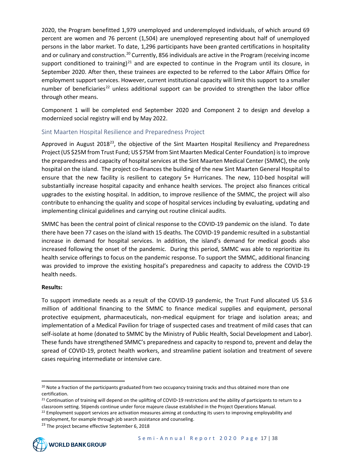2020, the Program benefitted 1,979 unemployed and underemployed individuals, of which around 69 percent are women and 76 percent (1,504) are unemployed representing about half of unemployed persons in the labor market. To date, 1,296 participants have been granted certifications in hospitality and or culinary and construction.<sup>[20](#page-16-1)</sup> Currently, 856 individuals are active in the Program (receiving income support conditioned to training)<sup>[21](#page-16-2)</sup> and are expected to continue in the Program until its closure, in September 2020. After then, these trainees are expected to be referred to the Labor Affairs Office for employment support services. However, current institutional capacity will limit this support to a smaller number of beneficiaries<sup>[22](#page-16-3)</sup> unless additional support can be provided to strengthen the labor office through other means.

Component 1 will be completed end September 2020 and Component 2 to design and develop a modernized social registry will end by May 2022.

#### <span id="page-16-0"></span>Sint Maarten Hospital Resilience and Preparedness Project

Approved in August 2018<sup>[23](#page-16-4)</sup>, the objective of the Sint Maarten Hospital Resiliency and Preparedness Project (US \$25M from Trust Fund; US \$75M from Sint Maarten Medical Center Foundation) is to improve the preparedness and capacity of hospital services at the Sint Maarten Medical Center (SMMC), the only hospital on the island. The project co-finances the building of the new Sint Maarten General Hospital to ensure that the new facility is resilient to category 5+ Hurricanes. The new, 110-bed hospital will substantially increase hospital capacity and enhance health services. The project also finances critical upgrades to the existing hospital. In addition, to improve resilience of the SMMC, the project will also contribute to enhancing the quality and scope of hospital services including by evaluating, updating and implementing clinical guidelines and carrying out routine clinical audits.

SMMC has been the central point of clinical response to the COVID-19 pandemic on the island. To date there have been 77 cases on the island with 15 deaths. The COVID-19 pandemic resulted in a substantial increase in demand for hospital services. In addition, the island's demand for medical goods also increased following the onset of the pandemic. During this period, SMMC was able to reprioritize its health service offerings to focus on the pandemic response. To support the SMMC, additional financing was provided to improve the existing hospital's preparedness and capacity to address the COVID-19 health needs.

#### **Results:**

To support immediate needs as a result of the COVID-19 pandemic, the Trust Fund allocated US \$3.6 million of additional financing to the SMMC to finance medical supplies and equipment, personal protective equipment, pharmaceuticals, non-medical equipment for triage and isolation areas; and implementation of a Medical Pavilion for triage of suspected cases and treatment of mild cases that can self-isolate at home (donated to SMMC by the Ministry of Public Health, Social Development and Labor). These funds have strengthened SMMC's preparedness and capacity to respond to, prevent and delay the spread of COVID-19, protect health workers, and streamline patient isolation and treatment of severe cases requiring intermediate or intensive care.

<span id="page-16-4"></span><span id="page-16-3"></span><span id="page-16-2"></span><sup>&</sup>lt;sup>23</sup> The project became effective September 6, 2018



<span id="page-16-1"></span><sup>&</sup>lt;sup>20</sup> Note a fraction of the participants graduated from two occupancy training tracks and thus obtained more than one certification.<br><sup>21</sup> Continuation of training will depend on the uplifting of COVID-19 restrictions and the ability of participants to return to a

classroom setting. Stipends continue under force majeure clause established in the Project Operations Manual.

<sup>&</sup>lt;sup>22</sup> Employment support services are activation measures aiming at conducting its users to improving employability and employment, for example through job search assistance and counseling.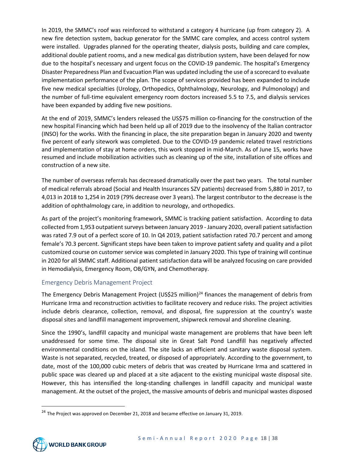In 2019, the SMMC's roof was reinforced to withstand a category 4 hurricane (up from category 2). A new fire detection system, backup generator for the SMMC care complex, and access control system were installed. Upgrades planned for the operating theater, dialysis posts, building and care complex, additional double patient rooms, and a new medical gas distribution system, have been delayed for now due to the hospital's necessary and urgent focus on the COVID-19 pandemic. The hospital's Emergency Disaster Preparedness Plan and Evacuation Plan was updated including the use of a scorecard to evaluate implementation performance of the plan. The scope of services provided has been expanded to include five new medical specialties (Urology, Orthopedics, Ophthalmology, Neurology, and Pulmonology) and the number of full-time equivalent emergency room doctors increased 5.5 to 7.5, and dialysis services have been expanded by adding five new positions.

At the end of 2019, SMMC's lenders released the US\$75 million co-financing for the construction of the new hospital Financing which had been held up all of 2019 due to the insolvency of the Italian contractor (INSO) for the works. With the financing in place, the site preparation began in January 2020 and twenty five percent of early sitework was completed. Due to the COVID-19 pandemic related travel restrictions and implementation of stay at home orders, this work stopped in mid-March. As of June 15, works have resumed and include mobilization activities such as cleaning up of the site, installation of site offices and construction of a new site.

The number of overseas referrals has decreased dramatically over the past two years. The total number of medical referrals abroad (Social and Health Insurances SZV patients) decreased from 5,880 in 2017, to 4,013 in 2018 to 1,254 in 2019 (79% decrease over 3 years). The largest contributor to the decrease is the addition of ophthalmology care, in addition to neurology, and orthopedics.

As part of the project's monitoring framework, SMMC is tracking patient satisfaction. According to data collected from 1,953 outpatient surveys between January 2019 - January 2020, overall patient satisfaction was rated 7.9 out of a perfect score of 10. In Q4 2019, patient satisfaction rated 70.7 percent and among female's 70.3 percent. Significant steps have been taken to improve patient safety and quality and a pilot customized course on customer service was completed in January 2020. This type of training will continue in 2020 for all SMMC staff. Additional patient satisfaction data will be analyzed focusing on care provided in Hemodialysis, Emergency Room, OB/GYN, and Chemotherapy.

#### <span id="page-17-0"></span>Emergency Debris Management Project

The Emergency Debris Management Project (US\$25 million)<sup>[24](#page-17-1)</sup> finances the management of debris from Hurricane Irma and reconstruction activities to facilitate recovery and reduce risks. The project activities include debris clearance, collection, removal, and disposal, fire suppression at the country's waste disposal sites and landfill management improvement, shipwreck removal and shoreline cleaning.

Since the 1990's, landfill capacity and municipal waste management are problems that have been left unaddressed for some time. The disposal site in Great Salt Pond Landfill has negatively affected environmental conditions on the island. The site lacks an efficient and sanitary waste disposal system. Waste is not separated, recycled, treated, or disposed of appropriately. According to the government, to date, most of the 100,000 cubic meters of debris that was created by Hurricane Irma and scattered in public space was cleared up and placed at a site adjacent to the existing municipal waste disposal site. However, this has intensified the long-standing challenges in landfill capacity and municipal waste management. At the outset of the project, the massive amounts of debris and municipal wastes disposed

<span id="page-17-1"></span><sup>&</sup>lt;sup>24</sup> The Project was approved on December 21, 2018 and became effective on January 31, 2019.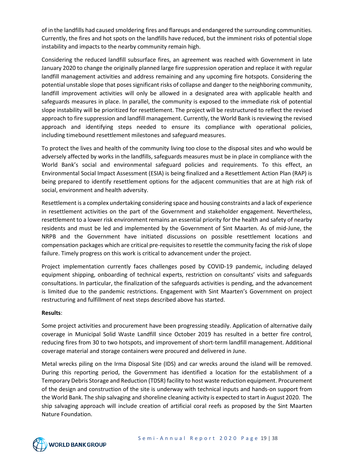of in the landfills had caused smoldering fires and flareups and endangered the surrounding communities. Currently, the fires and hot spots on the landfills have reduced, but the imminent risks of potential slope instability and impacts to the nearby community remain high.

Considering the reduced landfill subsurface fires, an agreement was reached with Government in late January 2020 to change the originally planned large fire suppression operation and replace it with regular landfill management activities and address remaining and any upcoming fire hotspots. Considering the potential unstable slope that poses significant risks of collapse and danger to the neighboring community, landfill improvement activities will only be allowed in a designated area with applicable health and safeguards measures in place. In parallel, the community is exposed to the immediate risk of potential slope instability will be prioritized for resettlement. The project will be restructured to reflect the revised approach to fire suppression and landfill management. Currently, the World Bank is reviewing the revised approach and identifying steps needed to ensure its compliance with operational policies, including timebound resettlement milestones and safeguard measures.

To protect the lives and health of the community living too close to the disposal sites and who would be adversely affected by works in the landfills, safeguards measures must be in place in compliance with the World Bank's social and environmental safeguard policies and requirements. To this effect, an Environmental Social Impact Assessment (ESIA) is being finalized and a Resettlement Action Plan (RAP) is being prepared to identify resettlement options for the adjacent communities that are at high risk of social, environment and health adversity.

Resettlement is a complex undertaking considering space and housing constraints and a lack of experience in resettlement activities on the part of the Government and stakeholder engagement. Nevertheless, resettlement to a lower risk environment remains an essential priority for the health and safety of nearby residents and must be led and implemented by the Government of Sint Maarten. As of mid-June, the NRPB and the Government have initiated discussions on possible resettlement locations and compensation packages which are critical pre-requisites to resettle the community facing the risk of slope failure. Timely progress on this work is critical to advancement under the project.

Project implementation currently faces challenges posed by COVID-19 pandemic, including delayed equipment shipping, onboarding of technical experts, restriction on consultants' visits and safeguards consultations. In particular, the finalization of the safeguards activities is pending, and the advancement is limited due to the pandemic restrictions. Engagement with Sint Maarten's Government on project restructuring and fulfillment of next steps described above has started.

#### **Results**:

Some project activities and procurement have been progressing steadily. Application of alternative daily coverage in Municipal Solid Waste Landfill since October 2019 has resulted in a better fire control, reducing fires from 30 to two hotspots, and improvement of short-term landfill management. Additional coverage material and storage containers were procured and delivered in June.

Metal wrecks piling on the Irma Disposal Site (IDS) and car wrecks around the island will be removed. During this reporting period, the Government has identified a location for the establishment of a Temporary Debris Storage and Reduction (TDSR) facility to host waste reduction equipment. Procurement of the design and construction of the site is underway with technical inputs and hands-on support from the World Bank. The ship salvaging and shoreline cleaning activity is expected to start in August 2020. The ship salvaging approach will include creation of artificial coral reefs as proposed by the Sint Maarten Nature Foundation.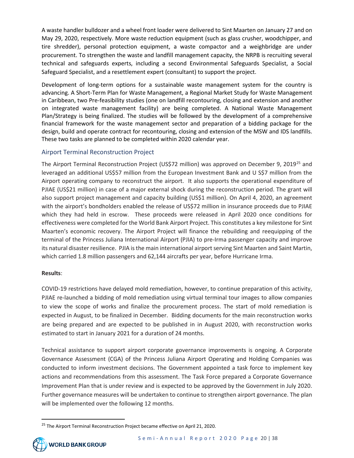A waste handler bulldozer and a wheel front loader were delivered to Sint Maarten on January 27 and on May 29, 2020, respectively. More waste reduction equipment (such as glass crusher, woodchipper, and tire shredder), personal protection equipment, a waste compactor and a weighbridge are under procurement. To strengthen the waste and landfill management capacity, the NRPB is recruiting several technical and safeguards experts, including a second Environmental Safeguards Specialist, a Social Safeguard Specialist, and a resettlement expert (consultant) to support the project.

Development of long-term options for a sustainable waste management system for the country is advancing. A Short-Term Plan for Waste Management, a Regional Market Study for Waste Management in Caribbean, two Pre-feasibility studies (one on landfill recontouring, closing and extension and another on integrated waste management facility) are being completed. A National Waste Management Plan/Strategy is being finalized. The studies will be followed by the development of a comprehensive financial framework for the waste management sector and preparation of a bidding package for the design, build and operate contract for recontouring, closing and extension of the MSW and IDS landfills. These two tasks are planned to be completed within 2020 calendar year.

#### <span id="page-19-0"></span>Airport Terminal Reconstruction Project

The Airport Terminal Reconstruction Project (US\$72 million) was approved on December 9, 2019<sup>[25](#page-19-1)</sup> and leveraged an additional US\$57 million from the European Investment Bank and U S\$7 million from the Airport operating company to reconstruct the airport. It also supports the operational expenditure of PJIAE (US\$21 million) in case of a major external shock during the reconstruction period. The grant will also support project management and capacity building (US\$1 million). On April 4, 2020, an agreement with the airport's bondholders enabled the release of US\$72 million in insurance proceeds due to PJIAE which they had held in escrow. These proceeds were released in April 2020 once conditions for effectiveness were completed for the World Bank Airport Project. This constitutes a key milestone for Sint Maarten's economic recovery. The Airport Project will finance the rebuilding and reequipping of the terminal of the Princess Juliana International Airport (PJIA) to pre-Irma passenger capacity and improve its natural disaster resilience. PJIA is the main international airport serving Sint Maarten and Saint Martin, which carried 1.8 million passengers and 62,144 aircrafts per year, before Hurricane Irma.

#### **Results**:

COVID-19 restrictions have delayed mold remediation, however, to continue preparation of this activity, PJIAE re-launched a bidding of mold remediation using virtual terminal tour images to allow companies to view the scope of works and finalize the procurement process. The start of mold remediation is expected in August, to be finalized in December. Bidding documents for the main reconstruction works are being prepared and are expected to be published in in August 2020, with reconstruction works estimated to start in January 2021 for a duration of 24 months.

Technical assistance to support airport corporate governance improvements is ongoing. A Corporate Governance Assessment (CGA) of the Princess Juliana Airport Operating and Holding Companies was conducted to inform investment decisions. The Government appointed a task force to implement key actions and recommendations from this assessment. The Task Force prepared a Corporate Governance Improvement Plan that is under review and is expected to be approved by the Government in July 2020. Further governance measures will be undertaken to continue to strengthen airport governance. The plan will be implemented over the following 12 months.

<span id="page-19-1"></span><sup>&</sup>lt;sup>25</sup> The Airport Terminal Reconstruction Project became effective on April 21, 2020.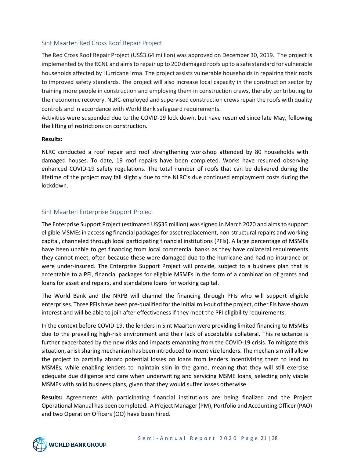#### <span id="page-20-0"></span>Sint Maarten Red Cross Roof Repair Project

The Red Cross Roof Repair Project (US\$3.64 million) was approved on December 30, 2019. The project is implemented by the RCNL and aims to repair up to 200 damaged roofs up to a safe standard for vulnerable households affected by Hurricane Irma. The project assists vulnerable households in repairing their roofs to improved safety standards. The project will also increase local capacity in the construction sector by training more people in construction and employing them in construction crews, thereby contributing to their economic recovery. NLRC-employed and supervised construction crews repair the roofs with quality controls and in accordance with World Bank safeguard requirements.

Activities were suspended due to the COVID-19 lock down, but have resumed since late May, following the lifting of restrictions on construction.

#### **Results:**

NLRC conducted a roof repair and roof strengthening workshop attended by 80 households with damaged houses. To date, 19 roof repairs have been completed. Works have resumed observing enhanced COVID-19 safety regulations. The total number of roofs that can be delivered during the lifetime of the project may fall slightly due to the NLRC's due continued employment costs during the lockdown.

#### <span id="page-20-1"></span>Sint Maarten Enterprise Support Project

The Enterprise Support Project (estimated US\$35 million) was signed in March 2020 and aims to support eligible MSMEsin accessing financial packages for asset replacement, non-structural repairs and working capital, channeled through local participating financial institutions (PFIs). A large percentage of MSMEs have been unable to get financing from local commercial banks as they have collateral requirements they cannot meet, often because these were damaged due to the hurricane and had no insurance or were under-insured. The Enterprise Support Project will provide, subject to a business plan that is acceptable to a PFI, financial packages for eligible MSMEs in the form of a combination of grants and loans for asset and repairs, and standalone loans for working capital.

The World Bank and the NRPB will channel the financing through PFIs who will support eligible enterprises. Three PFIs have been pre-qualified for the initial roll-out of the project, other FIs have shown interest and will be able to join after effectiveness if they meet the PFI eligibility requirements.

In the context before COVID-19, the lenders in Sint Maarten were providing limited financing to MSMEs due to the prevailing high-risk environment and their lack of acceptable collateral. This reluctance is further exacerbated by the new risks and impacts emanating from the COVID-19 crisis. To mitigate this situation, a risk sharing mechanism has been introduced to incentivize lenders. The mechanism will allow the project to partially absorb potential losses on loans from lenders incentivizing them to lend to MSMEs, while enabling lenders to maintain skin in the game, meaning that they will still exercise adequate due diligence and care when underwriting and servicing MSME loans, selecting only viable MSMEs with solid business plans, given that they would suffer losses otherwise.

**Results:** Agreements with participating financial institutions are being finalized and the Project Operational Manual has been completed. A Project Manager(PM), Portfolio and Accounting Officer (PAO) and two Operation Officers (OO) have been hired.

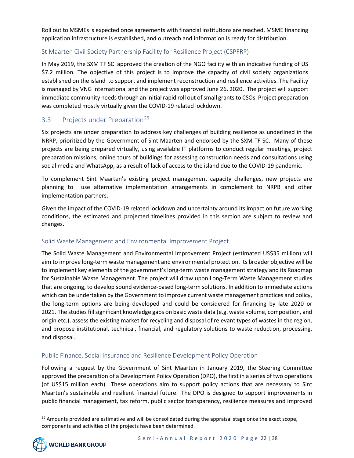Roll out to MSMEs is expected once agreements with financial institutions are reached, MSME financing application infrastructure is established, and outreach and information is ready for distribution.

### <span id="page-21-0"></span>St Maarten Civil Society Partnership Facility for Resilience Project (CSPFRP)

In May 2019, the SXM TF SC approved the creation of the NGO facility with an indicative funding of US \$7.2 million. The objective of this project is to improve the capacity of civil society organizations established on the island to support and implement reconstruction and resilience activities. The Facility is managed by VNG International and the project was approved June 26, 2020. The project will support immediate community needs through an initial rapid roll out of small grants to CSOs. Project preparation was completed mostly virtually given the COVID-19 related lockdown.

## <span id="page-21-1"></span>3.3 Projects under Preparation<sup>[26](#page-21-4)</sup>

Six projects are under preparation to address key challenges of building resilience as underlined in the NRRP, prioritized by the Government of Sint Maarten and endorsed by the SXM TF SC. Many of these projects are being prepared virtually, using available IT platforms to conduct regular meetings, project preparation missions, online tours of buildings for assessing construction needs and consultations using social media and WhatsApp, as a result of lack of access to the island due to the COVID-19 pandemic.

To complement Sint Maarten's existing project management capacity challenges, new projects are planning to use alternative implementation arrangements in complement to NRPB and other implementation partners.

Given the impact of the COVID-19 related lockdown and uncertainty around its impact on future working conditions, the estimated and projected timelines provided in this section are subject to review and changes.

#### <span id="page-21-2"></span>Solid Waste Management and Environmental Improvement Project

The Solid Waste Management and Environmental Improvement Project (estimated US\$35 million) will aim to improve long-term waste management and environmental protection. Its broader objective will be to implement key elements of the government's long-term waste management strategy and its Roadmap for Sustainable Waste Management. The project will draw upon Long-Term Waste Management studies that are ongoing, to develop sound evidence-based long-term solutions. In addition to immediate actions which can be undertaken by the Government to improve current waste management practices and policy, the long-term options are being developed and could be considered for financing by late 2020 or 2021. The studies fill significant knowledge gaps on basic waste data (e.g. waste volume, composition, and origin etc.), assess the existing market for recycling and disposal of relevant types of wastes in the region, and propose institutional, technical, financial, and regulatory solutions to waste reduction, processing, and disposal.

#### <span id="page-21-3"></span>Public Finance, Social Insurance and Resilience Development Policy Operation

Following a request by the Government of Sint Maarten in January 2019, the Steering Committee approved the preparation of a Development Policy Operation (DPO), the first in a series of two operations (of US\$15 million each). These operations aim to support policy actions that are necessary to Sint Maarten's sustainable and resilient financial future. The DPO is designed to support improvements in public financial management, tax reform, public sector transparency, resilience measures and improved

<span id="page-21-4"></span><sup>&</sup>lt;sup>26</sup> Amounts provided are estimative and will be consolidated during the appraisal stage once the exact scope, components and activities of the projects have been determined.

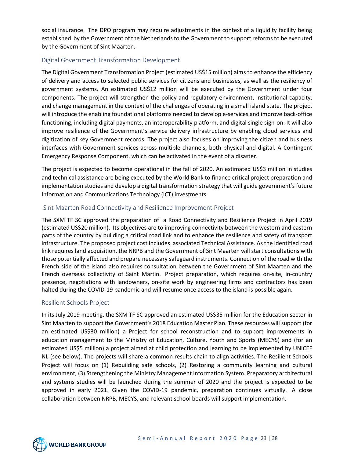social insurance. The DPO program may require adjustments in the context of a liquidity facility being established by the Government of the Netherlands to the Government to support reforms to be executed by the Government of Sint Maarten.

#### <span id="page-22-0"></span>Digital Government Transformation Development

The Digital Government Transformation Project (estimated US\$15 million) aims to enhance the efficiency of delivery and access to selected public services for citizens and businesses, as well as the resiliency of government systems. An estimated US\$12 million will be executed by the Government under four components. The project will strengthen the policy and regulatory environment, institutional capacity, and change management in the context of the challenges of operating in a small island state. The project will introduce the enabling foundational platforms needed to develop e-services and improve back-office functioning, including digital payments, an interoperability platform, and digital single sign-on. It will also improve resilience of the Government's service delivery infrastructure by enabling cloud services and digitization of key Government records. The project also focuses on improving the citizen and business interfaces with Government services across multiple channels, both physical and digital. A Contingent Emergency Response Component, which can be activated in the event of a disaster.

The project is expected to become operational in the fall of 2020. An estimated US\$3 million in studies and technical assistance are being executed by the World Bank to finance critical project preparation and implementation studies and develop a digital transformation strategy that will guide government's future Information and Communications Technology (ICT) investments.

#### <span id="page-22-1"></span>Sint Maarten Road Connectivity and Resilience Improvement Project

The SXM TF SC approved the preparation of a Road Connectivity and Resilience Project in April 2019 (estimated US\$20 million). Its objectives are to improving connectivity between the western and eastern parts of the country by building a critical road link and to enhance the resilience and safety of transport infrastructure. The proposed project cost includes associated Technical Assistance. As the identified road link requires land acquisition, the NRPB and the Government of Sint Maarten will start consultations with those potentially affected and prepare necessary safeguard instruments. Connection of the road with the French side of the island also requires consultation between the Government of Sint Maarten and the French overseas collectivity of Saint Martin. Project preparation, which requires on-site, in-country presence, negotiations with landowners, on-site work by engineering firms and contractors has been halted during the COVID-19 pandemic and will resume once access to the island is possible again.

#### <span id="page-22-2"></span>Resilient Schools Project

In its July 2019 meeting, the SXM TF SC approved an estimated US\$35 million for the Education sector in Sint Maarten to support the Government's 2018 Education Master Plan. These resources will support (for an estimated US\$30 million) a Project for school reconstruction and to support improvements in education management to the Ministry of Education, Culture, Youth and Sports (MECYS) and (for an estimated US\$5 million) a project aimed at child protection and learning to be implemented by UNICEF NL (see below). The projects will share a common results chain to align activities. The Resilient Schools Project will focus on (1) Rebuilding safe schools, (2) Restoring a community learning and cultural environment, (3) Strengthening the Ministry Management Information System. Preparatory architectural and systems studies will be launched during the summer of 2020 and the project is expected to be approved in early 2021. Given the COVID-19 pandemic, preparation continues virtually. A close collaboration between NRPB, MECYS, and relevant school boards will support implementation.

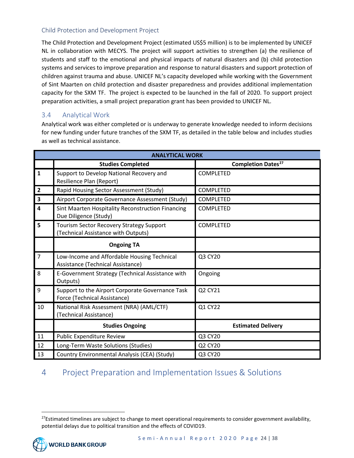### <span id="page-23-0"></span>Child Protection and Development Project

The Child Protection and Development Project (estimated US\$5 million) is to be implemented by UNICEF NL in collaboration with MECYS. The project will support activities to strengthen (a) the resilience of students and staff to the emotional and physical impacts of natural disasters and (b) child protection systems and services to improve preparation and response to natural disasters and support protection of children against trauma and abuse. UNICEF NL's capacity developed while working with the Government of Sint Maarten on child protection and disaster preparedness and provides additional implementation capacity for the SXM TF. The project is expected to be launched in the fall of 2020. To support project preparation activities, a small project preparation grant has been provided to UNICEF NL.

### <span id="page-23-1"></span>3.4 Analytical Work

Analytical work was either completed or is underway to generate knowledge needed to inform decisions for new funding under future tranches of the SXM TF, as detailed in the table below and includes studies as well as technical assistance.

|                         | <b>ANALYTICAL WORK</b>                                                                 |                                      |  |  |
|-------------------------|----------------------------------------------------------------------------------------|--------------------------------------|--|--|
|                         | <b>Studies Completed</b>                                                               | <b>Completion Dates<sup>27</sup></b> |  |  |
| $\mathbf{1}$            | Support to Develop National Recovery and<br>Resilience Plan (Report)                   | <b>COMPLETED</b>                     |  |  |
| $\overline{2}$          | Rapid Housing Sector Assessment (Study)                                                | <b>COMPLETED</b>                     |  |  |
| $\overline{\mathbf{3}}$ | Airport Corporate Governance Assessment (Study)                                        | COMPLETED                            |  |  |
| $\overline{\mathbf{4}}$ | Sint Maarten Hospitality Reconstruction Financing<br>Due Diligence (Study)             | <b>COMPLETED</b>                     |  |  |
| 5                       | <b>Tourism Sector Recovery Strategy Support</b><br>(Technical Assistance with Outputs) | <b>COMPLETED</b>                     |  |  |
|                         | <b>Ongoing TA</b>                                                                      |                                      |  |  |
| $\overline{7}$          | Low-Income and Affordable Housing Technical<br>Assistance (Technical Assistance)       | Q3 CY20                              |  |  |
| 8                       | E-Government Strategy (Technical Assistance with<br>Outputs)                           | Ongoing                              |  |  |
| 9                       | Support to the Airport Corporate Governance Task<br>Force (Technical Assistance)       | Q2 CY21                              |  |  |
| 10                      | National Risk Assessment (NRA) (AML/CTF)<br>(Technical Assistance)                     | Q1 CY22                              |  |  |
|                         | <b>Studies Ongoing</b>                                                                 | <b>Estimated Delivery</b>            |  |  |
| 11                      | Public Expenditure Review                                                              | Q3 CY20                              |  |  |
| 12                      | Long-Term Waste Solutions (Studies)                                                    | Q2 CY20                              |  |  |
| 13                      | Country Environmental Analysis (CEA) (Study)                                           | Q3 CY20                              |  |  |

# <span id="page-23-2"></span>4 Project Preparation and Implementation Issues & Solutions

<span id="page-23-3"></span> $27$ Estimated timelines are subject to change to meet operational requirements to consider government availability, potential delays due to political transition and the effects of COVID19.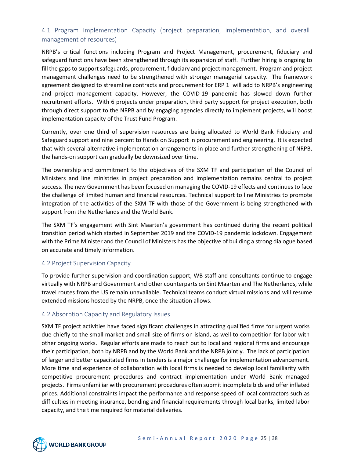## <span id="page-24-0"></span>4.1 Program Implementation Capacity (project preparation, implementation, and overall management of resources)

NRPB's critical functions including Program and Project Management, procurement, fiduciary and safeguard functions have been strengthened through its expansion of staff. Further hiring is ongoing to fill the gaps to support safeguards, procurement, fiduciary and project management. Program and project management challenges need to be strengthened with stronger managerial capacity. The framework agreement designed to streamline contracts and procurement for ERP 1 will add to NRPB's engineering and project management capacity. However, the COVID-19 pandemic has slowed down further recruitment efforts. With 6 projects under preparation, third party support for project execution, both through direct support to the NRPB and by engaging agencies directly to implement projects, will boost implementation capacity of the Trust Fund Program.

Currently, over one third of supervision resources are being allocated to World Bank Fiduciary and Safeguard support and nine percent to Hands on Support in procurement and engineering. It is expected that with several alternative implementation arrangements in place and further strengthening of NRPB, the hands-on support can gradually be downsized over time.

The ownership and commitment to the objectives of the SXM TF and participation of the Council of Ministers and line ministries in project preparation and implementation remains central to project success. The new Government has been focused on managing the COVID-19 effects and continues to face the challenge of limited human and financial resources. Technical support to line Ministries to promote integration of the activities of the SXM TF with those of the Government is being strengthened with support from the Netherlands and the World Bank.

The SXM TF's engagement with Sint Maarten's government has continued during the recent political transition period which started in September 2019 and the COVID-19 pandemic lockdown. Engagement with the Prime Minister and the Council of Ministers has the objective of building a strong dialogue based on accurate and timely information.

#### <span id="page-24-1"></span>4.2 Project Supervision Capacity

To provide further supervision and coordination support, WB staff and consultants continue to engage virtually with NRPB and Government and other counterparts on Sint Maarten and The Netherlands, while travel routes from the US remain unavailable. Technical teams conduct virtual missions and will resume extended missions hosted by the NRPB, once the situation allows.

#### <span id="page-24-2"></span>4.2 Absorption Capacity and Regulatory Issues

SXM TF project activities have faced significant challenges in attracting qualified firms for urgent works due chiefly to the small market and small size of firms on island, as well to competition for labor with other ongoing works. Regular efforts are made to reach out to local and regional firms and encourage their participation, both by NRPB and by the World Bank and the NRPB jointly. The lack of participation of larger and better capacitated firms in tenders is a major challenge for implementation advancement. More time and experience of collaboration with local firms is needed to develop local familiarity with competitive procurement procedures and contract implementation under World Bank managed projects. Firms unfamiliar with procurement procedures often submit incomplete bids and offer inflated prices. Additional constraints impact the performance and response speed of local contractors such as difficulties in meeting insurance, bonding and financial requirements through local banks, limited labor capacity, and the time required for material deliveries.

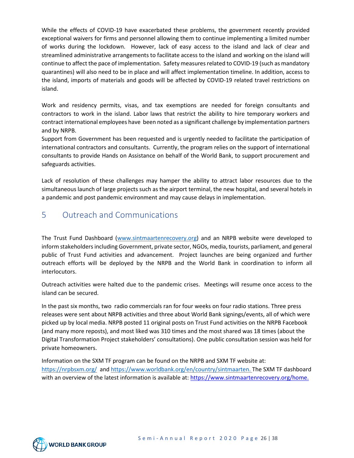While the effects of COVID-19 have exacerbated these problems, the government recently provided exceptional waivers for firms and personnel allowing them to continue implementing a limited number of works during the lockdown. However, lack of easy access to the island and lack of clear and streamlined administrative arrangements to facilitate access to the island and working on the island will continue to affect the pace of implementation. Safety measures related to COVID-19 (such as mandatory quarantines) will also need to be in place and will affect implementation timeline. In addition, access to the island, imports of materials and goods will be affected by COVID-19 related travel restrictions on island.

Work and residency permits, visas, and tax exemptions are needed for foreign consultants and contractors to work in the island. Labor laws that restrict the ability to hire temporary workers and contract international employees have been noted as a significant challenge by implementation partners and by NRPB.

Support from Government has been requested and is urgently needed to facilitate the participation of international contractors and consultants. Currently, the program relies on the support of international consultants to provide Hands on Assistance on behalf of the World Bank, to support procurement and safeguards activities.

Lack of resolution of these challenges may hamper the ability to attract labor resources due to the simultaneous launch of large projects such as the airport terminal, the new hospital, and several hotels in a pandemic and post pandemic environment and may cause delays in implementation.

# <span id="page-25-0"></span>5 Outreach and Communications

The Trust Fund Dashboard [\(www.sintmaartenrecovery.org\)](http://www.sintmaartenrecovery.org/) and an NRPB website were developed to inform stakeholders including Government, private sector, NGOs, media, tourists, parliament, and general public of Trust Fund activities and advancement. Project launches are being organized and further outreach efforts will be deployed by the NRPB and the World Bank in coordination to inform all interlocutors.

Outreach activities were halted due to the pandemic crises. Meetings will resume once access to the island can be secured.

In the past six months, two radio commercials ran for four weeks on four radio stations. Three press releases were sent about NRPB activities and three about World Bank signings/events, all of which were picked up by local media. NRPB posted 11 original posts on Trust Fund activities on the NRPB Facebook (and many more reposts), and most liked was 310 times and the most shared was 18 times (about the Digital Transformation Project stakeholders' consultations). One public consultation session was held for private homeowners.

Information on the SXM TF program can be found on the NRPB and SXM TF website at: <https://nrpbsxm.org/>and [https://www.worldbank.org/en/country/sintmaarten.](https://www.worldbank.org/en/country/sintmaarten) The SXM TF dashboard with an overview of the latest information is available at: [https://www.sintmaartenrecovery.org/home.](https://www.sintmaartenrecovery.org/home)

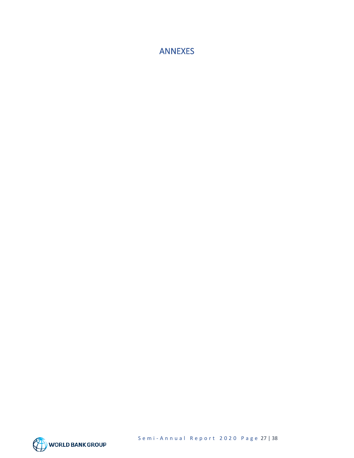<span id="page-26-0"></span>ANNEXES

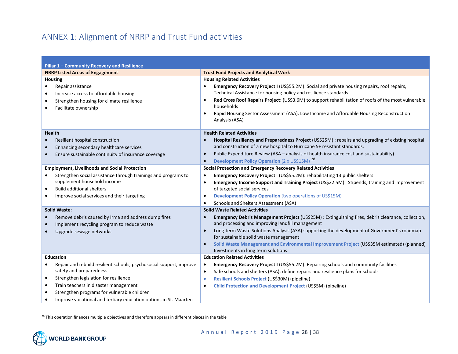# <span id="page-27-1"></span>ANNEX 1: Alignment of NRRP and Trust Fund activities

<span id="page-27-0"></span>

| Pillar 1 - Community Recovery and Resilience                                                                                                                                                                                                                                                                                               |                                                                                                                                                                                                                                                                                                                                                                                                                                                               |  |  |
|--------------------------------------------------------------------------------------------------------------------------------------------------------------------------------------------------------------------------------------------------------------------------------------------------------------------------------------------|---------------------------------------------------------------------------------------------------------------------------------------------------------------------------------------------------------------------------------------------------------------------------------------------------------------------------------------------------------------------------------------------------------------------------------------------------------------|--|--|
| <b>NRRP Listed Areas of Engagement</b>                                                                                                                                                                                                                                                                                                     | <b>Trust Fund Projects and Analytical Work</b>                                                                                                                                                                                                                                                                                                                                                                                                                |  |  |
| <b>Housing</b>                                                                                                                                                                                                                                                                                                                             | <b>Housing Related Activities</b>                                                                                                                                                                                                                                                                                                                                                                                                                             |  |  |
| Repair assistance<br>Increase access to affordable housing<br>$\bullet$<br>Strengthen housing for climate resilience<br>$\bullet$<br>Facilitate ownership                                                                                                                                                                                  | Emergency Recovery Project I (US\$55.2M): Social and private housing repairs, roof repairs,<br>$\bullet$<br>Technical Assistance for housing policy and resilience standards<br>Red Cross Roof Repairs Project: (US\$3.6M) to support rehabilitation of roofs of the most vulnerable<br>households<br>Rapid Housing Sector Assessment (ASA), Low Income and Affordable Housing Reconstruction<br>Analysis (ASA)                                               |  |  |
| <b>Health</b><br>Resilient hospital construction<br>Enhancing secondary healthcare services<br>Ensure sustainable continuity of insurance coverage<br>$\bullet$                                                                                                                                                                            | <b>Health Related Activities</b><br>Hospital Resiliency and Preparedness Project (US\$25M) : repairs and upgrading of existing hospital<br>and construction of a new hospital to Hurricane 5+ resistant standards.<br>Public Expenditure Review (ASA - analysis of health insurance cost and sustainability)<br>$\bullet$<br><b>Development Policy Operation</b> (2 x US\$15M) <sup>28</sup><br>$\bullet$                                                     |  |  |
| <b>Employment, Livelihoods and Social Protection</b>                                                                                                                                                                                                                                                                                       | Social Protection and Emergency Recovery Related Activities                                                                                                                                                                                                                                                                                                                                                                                                   |  |  |
| Strengthen social assistance through trainings and programs to<br>supplement household income<br><b>Build additional shelters</b><br>$\bullet$<br>Improve social services and their targeting                                                                                                                                              | Emergency Recovery Project I (US\$55.2M): rehabilitating 13 public shelters<br>$\bullet$<br>Emergency Income Support and Training Project (US\$22.5M): Stipends, training and improvement<br>$\bullet$<br>of targeted social services<br>Development Policy Operation (two operations of US\$15M)<br>$\bullet$<br>Schools and Shelters Assessment (ASA)<br>$\bullet$                                                                                          |  |  |
| <b>Solid Waste:</b>                                                                                                                                                                                                                                                                                                                        | <b>Solid Waste Related Activities</b>                                                                                                                                                                                                                                                                                                                                                                                                                         |  |  |
| Remove debris caused by Irma and address dump fires<br>$\bullet$<br>Implement recycling program to reduce waste<br>Upgrade sewage networks                                                                                                                                                                                                 | Emergency Debris Management Project (US\$25M) : Extinguishing fires, debris clearance, collection,<br>$\bullet$<br>and processing and improving landfill management<br>Long-term Waste Solutions Analysis (ASA) supporting the development of Government's roadmap<br>$\bullet$<br>for sustainable solid waste management<br>Solid Waste Management and Environmental Improvement Project (US\$35M estimated) (planned)<br>Investments in long term solutions |  |  |
| <b>Education</b>                                                                                                                                                                                                                                                                                                                           | <b>Education Related Activities</b>                                                                                                                                                                                                                                                                                                                                                                                                                           |  |  |
| Repair and rebuild resilient schools, psychosocial support, improve<br>safety and preparedness<br>Strengthen legislation for resilience<br>$\bullet$<br>Train teachers in disaster management<br>$\bullet$<br>Strengthen programs for vulnerable children<br>$\bullet$<br>Improve vocational and tertiary education options in St. Maarten | Emergency Recovery Project I (US\$55.2M): Repairing schools and community facilities<br>$\bullet$<br>Safe schools and shelters (ASA): define repairs and resilience plans for schools<br>$\bullet$<br>Resilient Schools Project (US\$30M) (pipeline)<br>$\bullet$<br>Child Protection and Development Project (US\$5M) (pipeline)<br>$\bullet$                                                                                                                |  |  |

<sup>28</sup> This operation finances multiple objectives and therefore appears in different places in the table

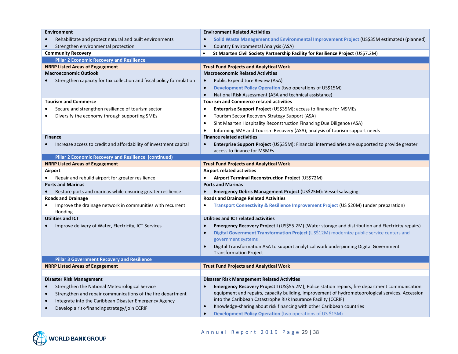| <b>Environment</b>                                                                       |                                                                                     | <b>Environment Related Activities</b>                                                                                  |  |
|------------------------------------------------------------------------------------------|-------------------------------------------------------------------------------------|------------------------------------------------------------------------------------------------------------------------|--|
| Rehabilitate and protect natural and built environments                                  |                                                                                     | Solid Waste Management and Environmental Improvement Project (US\$35M estimated) (planned)                             |  |
| Strengthen environmental protection                                                      | $\bullet$                                                                           | <b>Country Environmental Analysis (ASA)</b>                                                                            |  |
| <b>Community Recovery</b>                                                                | $\bullet$                                                                           | St Maarten Civil Society Partnership Facility for Resilience Project (US\$7.2M)                                        |  |
| <b>Pillar 2 Economic Recovery and Resilience</b>                                         |                                                                                     |                                                                                                                        |  |
| <b>NRRP Listed Areas of Engagement</b>                                                   |                                                                                     | <b>Trust Fund Projects and Analytical Work</b>                                                                         |  |
| <b>Macroeconomic Outlook</b>                                                             |                                                                                     | <b>Macroeconomic Related Activities</b>                                                                                |  |
| Strengthen capacity for tax collection and fiscal policy formulation                     | $\bullet$                                                                           | Public Expenditure Review (ASA)                                                                                        |  |
|                                                                                          | $\bullet$                                                                           | Development Policy Operation (two operations of US\$15M)                                                               |  |
|                                                                                          | $\bullet$                                                                           | National Risk Assessment (ASA and technical assistance)                                                                |  |
| <b>Tourism and Commerce</b>                                                              |                                                                                     | <b>Tourism and Commerce related activities</b>                                                                         |  |
| Secure and strengthen resilience of tourism sector                                       | $\bullet$                                                                           | <b>Enterprise Support Project (US\$35M); access to finance for MSMEs</b>                                               |  |
| Diversify the economy through supporting SMEs                                            | $\bullet$                                                                           | Tourism Sector Recovery Strategy Support (ASA)                                                                         |  |
|                                                                                          | $\bullet$                                                                           | Sint Maarten Hospitality Reconstruction Financing Due Diligence (ASA)                                                  |  |
|                                                                                          | $\bullet$                                                                           | Informing SME and Tourism Recovery (ASA); analysis of tourism support needs                                            |  |
| <b>Finance</b>                                                                           |                                                                                     | <b>Finance related activities</b>                                                                                      |  |
| Increase access to credit and affordability of investment capital                        | $\bullet$                                                                           | <b>Enterprise Support Project (US\$35M); Financial intermediaries are supported to provide greater</b>                 |  |
|                                                                                          |                                                                                     | access to finance for MSMEs                                                                                            |  |
| Pillar 2 Economic Recovery and Resilience (continued)                                    |                                                                                     |                                                                                                                        |  |
| <b>NRRP Listed Areas of Engagement</b>                                                   | <b>Trust Fund Projects and Analytical Work</b><br><b>Airport related activities</b> |                                                                                                                        |  |
| Airport                                                                                  | $\bullet$                                                                           |                                                                                                                        |  |
| Repair and rebuild airport for greater resilience<br><b>Ports and Marinas</b>            |                                                                                     | Airport Terminal Reconstruction Project (US\$72M)<br><b>Ports and Marinas</b>                                          |  |
|                                                                                          | $\bullet$                                                                           |                                                                                                                        |  |
| Restore ports and marinas while ensuring greater resilience<br><b>Roads and Drainage</b> |                                                                                     | <b>Emergency Debris Management Project (US\$25M): Vessel salvaging</b><br><b>Roads and Drainage Related Activities</b> |  |
| Improve the drainage network in communities with recurrent                               | $\bullet$                                                                           | Transport Connectivity & Resilience Improvement Project (US \$20M) (under preparation)                                 |  |
| flooding                                                                                 |                                                                                     |                                                                                                                        |  |
| <b>Utilities and ICT</b>                                                                 |                                                                                     | Utilities and ICT related activities                                                                                   |  |
| Improve delivery of Water, Electricity, ICT Services                                     | $\bullet$                                                                           | <b>Emergency Recovery Project I (US\$55.2M) (Water storage and distribution and Electricity repairs)</b>               |  |
|                                                                                          | $\bullet$                                                                           | Digital Government Transformation Project (US\$12M) modernize public service centers and                               |  |
|                                                                                          |                                                                                     | government systems                                                                                                     |  |
|                                                                                          | $\bullet$                                                                           | Digital Transformation ASA to support analytical work underpinning Digital Government                                  |  |
|                                                                                          |                                                                                     | <b>Transformation Project</b>                                                                                          |  |
| <b>Pillar 3 Government Recovery and Resilience</b>                                       |                                                                                     |                                                                                                                        |  |
| <b>NRRP Listed Areas of Engagement</b>                                                   |                                                                                     | <b>Trust Fund Projects and Analytical Work</b>                                                                         |  |
|                                                                                          |                                                                                     |                                                                                                                        |  |
| <b>Disaster Risk Management</b>                                                          |                                                                                     | <b>Disaster Risk Management Related Activities</b>                                                                     |  |
| Strengthen the National Meteorological Service                                           | $\bullet$                                                                           | Emergency Recovery Project I (US\$55.2M); Police station repairs, fire department communication                        |  |
| Strengthen and repair communications of the fire department                              |                                                                                     | equipment and repairs, capacity building, improvement of hydrometeorological services. Accession                       |  |
| Integrate into the Caribbean Disaster Emergency Agency                                   |                                                                                     | into the Caribbean Catastrophe Risk Insurance Facility (CCRIF)                                                         |  |
| Develop a risk-financing strategy/join CCRIF                                             | $\bullet$                                                                           | Knowledge-sharing about risk financing with other Caribbean countries                                                  |  |
|                                                                                          | $\bullet$                                                                           | <b>Development Policy Operation</b> (two operations of US \$15M)                                                       |  |

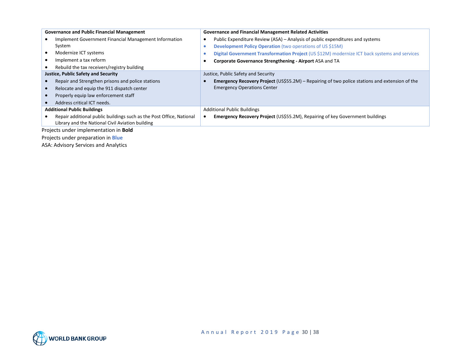| <b>Governance and Public Financial Management</b>                    | <b>Governance and Financial Management Related Activities</b>                                         |
|----------------------------------------------------------------------|-------------------------------------------------------------------------------------------------------|
| Implement Government Financial Management Information                | Public Expenditure Review (ASA) – Analysis of public expenditures and systems<br>$\bullet$            |
| System                                                               | Development Policy Operation (two operations of US \$15M)                                             |
| Modernize ICT systems                                                | Digital Government Transformation Project (US \$12M) modernize ICT back systems and services          |
| Implement a tax reform                                               | Corporate Governance Strengthening - Airport ASA and TA                                               |
| Rebuild the tax receivers/registry building                          |                                                                                                       |
| <b>Justice, Public Safety and Security</b>                           | Justice, Public Safety and Security                                                                   |
| Repair and Strengthen prisons and police stations                    | <b>Emergency Recovery Project (US\$55.2M) – Repairing of two police stations and extension of the</b> |
| Relocate and equip the 911 dispatch center                           | <b>Emergency Operations Center</b>                                                                    |
| Properly equip law enforcement staff                                 |                                                                                                       |
| Address critical ICT needs.                                          |                                                                                                       |
| <b>Additional Public Buildings</b>                                   | <b>Additional Public Buildings</b>                                                                    |
| Repair additional public buildings such as the Post Office, National | <b>Emergency Recovery Project (US\$55.2M), Repairing of key Government buildings</b>                  |
| Library and the National Civil Aviation building                     |                                                                                                       |
| Projects under implementation in <b>Bold</b>                         |                                                                                                       |
| Projects under preparation in <b>Blue</b>                            |                                                                                                       |

ASA: Advisory Services and Analytics

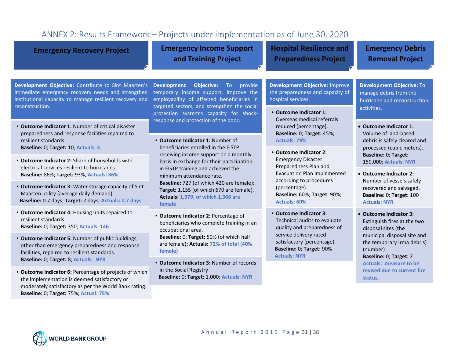<span id="page-30-0"></span>

| ANNEX 2: Results Framework - Projects under implementation as of June 30, 2020                                                                                                               |                                                                                                                                                                                                                                 |                                                                                                                                                                                                  |                                                                                                                                                                                                                                                                                                  |  |  |  |
|----------------------------------------------------------------------------------------------------------------------------------------------------------------------------------------------|---------------------------------------------------------------------------------------------------------------------------------------------------------------------------------------------------------------------------------|--------------------------------------------------------------------------------------------------------------------------------------------------------------------------------------------------|--------------------------------------------------------------------------------------------------------------------------------------------------------------------------------------------------------------------------------------------------------------------------------------------------|--|--|--|
| <b>Emergency Recovery Project</b>                                                                                                                                                            | <b>Emergency Income Support</b><br>and Training Project                                                                                                                                                                         | <b>Hospital Resilience and</b><br><b>Preparedness Project</b>                                                                                                                                    | <b>Emergency Debris</b><br><b>Removal Project</b>                                                                                                                                                                                                                                                |  |  |  |
| Development Objective: Contribute to Sint Maarten's<br>immediate emergency recovery needs and strengthen<br>institutional capacity to manage resilient recovery and<br>reconstruction.       | <b>Development</b><br>Objective:<br>To provide<br>temporary income support, improve the<br>employability of affected beneficiaries in<br>targeted sectors, and strengthen the social<br>protection system's capacity for shock- | Development Objective: Improve<br>the preparedness and capacity of<br>hospital services.<br>• Outcome Indicator 1:                                                                               | <b>Development Objective: To</b><br>manage debris from the<br>hurricane and reconstruction<br>activities.                                                                                                                                                                                        |  |  |  |
| • Outcome Indicator 1: Number of critical disaster<br>preparedness and response facilities repaired to<br>resilient standards.<br>Baseline: 0; Target: 10, Actuals: 3                        | response and protection of the poor.<br>• Outcome Indicator 1: Number of<br>beneficiaries enrolled in the EISTP                                                                                                                 | Overseas medical referrals<br>reduced (percentage).<br>Baseline: 0; Target: 45%;<br><b>Actuals: 79%</b>                                                                                          | • Outcome Indicator 1:<br>Volume of land-based<br>debris is safely cleared and<br>processed (cubic meters).<br>Baseline: 0; Target:<br>150,000; Actuals: NYR<br>• Outcome Indicator 2:<br>Number of vessels safely<br>recovered and salvaged.<br>Baseline: 0; Target: 100<br><b>Actuals: NYR</b> |  |  |  |
| • Outcome Indicator 2: Share of households with<br>electrical services resilient to hurricanes.<br>Baseline: 86%; Target: 93%, Actuals: 86%                                                  | receiving income support on a monthly<br>basis in exchange for their participation<br>in EISTP training and achieved the<br>minimum attendance rate.                                                                            | • Outcome Indicator 2:<br><b>Emergency Disaster</b><br>Preparedness Plan and<br><b>Evacuation Plan implemented</b>                                                                               |                                                                                                                                                                                                                                                                                                  |  |  |  |
| • Outcome Indicator 3: Water storage capacity of Sint<br>Maarten utility (average daily demand).<br>Baseline: 0.7 days; Target: 2 days; Actuals: 0.7 days                                    | Baseline: 727 (of which 420 are female);<br>Target: 1,155 (of which 670 are female).<br><b>Actuals: 1,979, of which 1,366 are</b><br>female                                                                                     | according to procedures<br>(percentage).<br><b>Baseline: 60%; Target: 90%;</b><br><b>Actuals: 60%</b>                                                                                            |                                                                                                                                                                                                                                                                                                  |  |  |  |
| • Outcome Indicator 4: Housing units repaired to<br>resilient standards.<br>Baseline: 0; Target: 350; Actuals: 146                                                                           | • Outcome Indicator 2: Percentage of<br>beneficiaries who complete training in an<br>occupational area.                                                                                                                         | • Outcome Indicator 3:<br>Technical audits to evaluate<br>quality and preparedness of<br>service delivery rated<br>satisfactory (percentage).<br>Baseline: 0; Target: 90%<br><b>Actuals: NYR</b> | • Outcome Indicator 3:<br>Extinguish fires at the two<br>disposal sites (the<br>municipal disposal site and<br>the temporary Irma debris)<br>(number)<br>Baseline: 0; Target: 2<br><b>Actuals: measure to be</b><br>revised due to current fire<br>status.                                       |  |  |  |
| • Outcome Indicator 5: Number of public buildings,<br>other than emergency preparedness and response<br>facilities, repaired to resilient standards.<br>Baseline: 0; Target: 8; Actuals: NYR | Baseline: 0; Target: 50% (of which half<br>are female); Actuals: 72% of total (40%<br>female)                                                                                                                                   |                                                                                                                                                                                                  |                                                                                                                                                                                                                                                                                                  |  |  |  |
| • Outcome Indicator 6: Percentage of projects of which<br>the implementation is deemed satisfactory or<br>moderately satisfactory as per the World Bank rating.                              | • Outcome Indicator 3: Number of records<br>in the Social Registry<br>Baseline: 0; Target: 1,000; Actuals: NYR                                                                                                                  |                                                                                                                                                                                                  |                                                                                                                                                                                                                                                                                                  |  |  |  |
| Baseline: 0; Target: 75%; Actual: 75%                                                                                                                                                        |                                                                                                                                                                                                                                 |                                                                                                                                                                                                  |                                                                                                                                                                                                                                                                                                  |  |  |  |

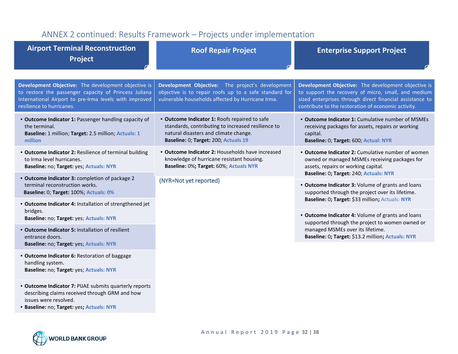# ANNEX 2 continued: Results Framework – Projects under implementation

<span id="page-31-0"></span>

| <b>Airport Terminal Reconstruction</b><br><b>Project</b>                                                                                                                                            | <b>Roof Repair Project</b>                                                                                                                                                           | <b>Enterprise Support Project</b>                                                                                                                                                                                             |  |
|-----------------------------------------------------------------------------------------------------------------------------------------------------------------------------------------------------|--------------------------------------------------------------------------------------------------------------------------------------------------------------------------------------|-------------------------------------------------------------------------------------------------------------------------------------------------------------------------------------------------------------------------------|--|
|                                                                                                                                                                                                     |                                                                                                                                                                                      |                                                                                                                                                                                                                               |  |
| Development Objective: The development objective is<br>to restore the passenger capacity of Princess Juliana<br>International Airport to pre-Irma levels with improved<br>resilience to hurricanes. | Development Objective: The project's development<br>objective is to repair roofs up to a safe standard for<br>vulnerable households affected by Hurricane Irma.                      | Development Objective: The development objective is<br>to support the recovery of micro, small, and medium<br>sized enterprises through direct financial assistance to<br>contribute to the restoration of economic activity. |  |
| • Outcome Indicator 1: Passenger handling capacity of<br>the terminal.<br>Baseline: 1 million; Target: 2.5 million; Actuals: 1<br>million                                                           | • Outcome Indicator 1: Roofs repaired to safe<br>standards, contributing to increased resilience to<br>natural disasters and climate change.<br>Baseline: 0; Target: 200; Actuals 19 | • Outcome Indicator 1: Cumulative number of MSMEs<br>receiving packages for assets, repairs or working<br>capital.<br>Baseline: 0; Target: 600; Actual: NYR                                                                   |  |
| • Outcome Indicator 2: Resilience of terminal building<br>to Irma level hurricanes.<br>Baseline: no; Target: yes; Actuals: NYR                                                                      | • Outcome Indicator 2: Households have increased<br>knowledge of hurricane resistant housing.<br>Baseline: 0%; Target: 60%; Actuals NYR                                              | • Outcome Indicator 2: Cumulative number of women<br>owned or managed MSMEs receiving packages for<br>assets, repairs or working capital.<br>Baseline: 0; Target: 240; Actuals: NYR                                           |  |
| • Outcome Indicator 3: completion of package 2<br>terminal reconstruction works.<br>Baseline: 0; Target: 100%; Actuals: 0%                                                                          | (NYR=Not yet reported)                                                                                                                                                               | • Outcome Indicator 3: Volume of grants and loans<br>supported through the project over its lifetime.                                                                                                                         |  |
| . Outcome Indicator 4: Installation of strengthened jet                                                                                                                                             |                                                                                                                                                                                      | Baseline: 0; Target: \$33 million; Actuals: NYR                                                                                                                                                                               |  |
| bridges.<br>Baseline: no; Target: yes; Actuals: NYR                                                                                                                                                 |                                                                                                                                                                                      | • Outcome Indicator 4: Volume of grants and loans<br>supported through the project to women owned or                                                                                                                          |  |
| • Outcome Indicator 5: installation of resilient<br>entrance doors.                                                                                                                                 |                                                                                                                                                                                      | managed MSMEs over its lifetime.<br>Baseline: 0; Target: \$13.2 million; Actuals: NYR                                                                                                                                         |  |
| Baseline: no; Target: yes; Actuals: NYR                                                                                                                                                             |                                                                                                                                                                                      |                                                                                                                                                                                                                               |  |
| • Outcome Indicator 6: Restoration of baggage<br>handling system.<br>Baseline: no; Target: yes; Actuals: NYR                                                                                        |                                                                                                                                                                                      |                                                                                                                                                                                                                               |  |
| • Outcome Indicator 7: PIJAE submits quarterly reports<br>describing claims received through GRM and how                                                                                            |                                                                                                                                                                                      |                                                                                                                                                                                                                               |  |

issues were resolved.

• **Baseline:** no; **Target:** yes**; Actuals: NYR**

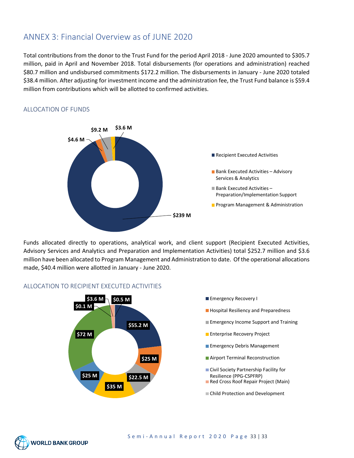## <span id="page-32-0"></span>ANNEX 3: Financial Overview as of JUNE 2020

Total contributions from the donor to the Trust Fund for the period April 2018 - June 2020 amounted to \$305.7 million, paid in April and November 2018. Total disbursements (for operations and administration) reached \$80.7 million and undisbursed commitments \$172.2 million. The disbursements in January - June 2020 totaled \$38.4 million. After adjusting for investment income and the administration fee, the Trust Fund balance is \$59.4 million from contributions which will be allotted to confirmed activities.



#### <span id="page-32-1"></span>ALLOCATION OF FUNDS

Funds allocated directly to operations, analytical work, and client support (Recipient Executed Activities, Advisory Services and Analytics and Preparation and Implementation Activities) total \$252.7 million and \$3.6 million have been allocated to Program Management and Administration to date. Of the operational allocations made, \$40.4 million were allotted in January - June 2020.



#### <span id="page-32-2"></span>ALLOCATION TO RECIPIENT EXECUTED ACTIVITIES

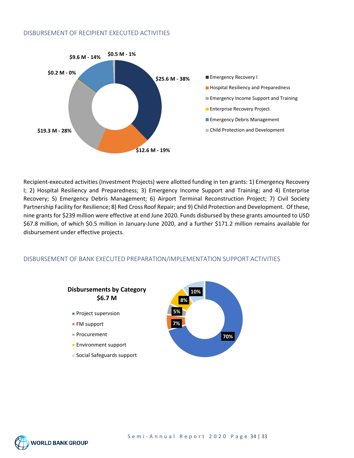#### <span id="page-33-0"></span>DISBURSEMENT OF RECIPIENT EXECUTED ACTIVITIES



Recipient-executed activities (Investment Projects) were allotted funding in ten grants: 1) Emergency Recovery I; 2) Hospital Resiliency and Preparedness; 3) Emergency Income Support and Training; and 4) Enterprise Recovery; 5) Emergency Debris Management; 6) Airport Terminal Reconstruction Project; 7) Civil Society Partnership Facility for Resilience; 8) Red Cross Roof Repair; and 9) Child Protection and Development. Of these, nine grants for \$239 million were effective at end June 2020. Funds disbursed by these grants amounted to USD \$67.8 million, of which \$0.5 million in January-June 2020, and a further \$171.2 million remains available for disbursement under effective projects.

#### <span id="page-33-1"></span>DISBURSEMENT OF BANK EXECUTED PREPARATION/IMPLEMENTATION SUPPORT ACTIVITIES



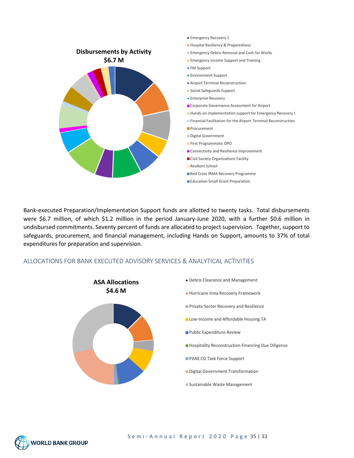

Bank-executed Preparation/Implementation Support funds are allotted to twenty tasks. Total disbursements were \$6.7 million, of which \$1.2 million in the period January-June 2020, with a further \$0.6 million in undisbursed commitments. Seventy percent of funds are allocated to project supervision. Together, support to safeguards, procurement, and financial management, including Hands on Support, amounts to 37% of total expenditures for preparation and supervision.

#### ALLOCATIONS FOR BANK EXECUTED ADVISORY SERVICES & ANALYTICAL ACTIVITIES



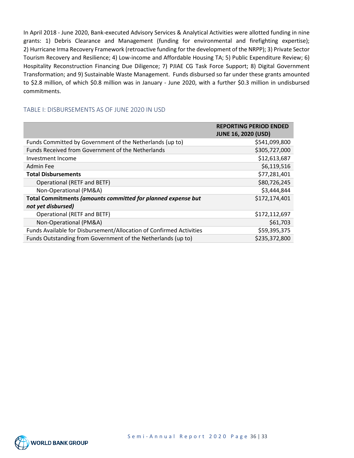In April 2018 - June 2020, Bank-executed Advisory Services & Analytical Activities were allotted funding in nine grants: 1) Debris Clearance and Management (funding for environmental and firefighting expertise); 2) Hurricane Irma Recovery Framework (retroactive funding for the development of the NRPP); 3) Private Sector Tourism Recovery and Resilience; 4) Low-income and Affordable Housing TA; 5) Public Expenditure Review; 6) Hospitality Reconstruction Financing Due Diligence; 7) PJIAE CG Task Force Support; 8) Digital Government Transformation; and 9) Sustainable Waste Management. Funds disbursed so far under these grants amounted to \$2.8 million, of which \$0.8 million was in January - June 2020, with a further \$0.3 million in undisbursed commitments.

#### <span id="page-35-0"></span>TABLE I: DISBURSEMENTS AS OF JUNE 2020 IN USD

|                                                                                    | <b>REPORTING PERIOD ENDED</b><br><b>JUNE 16, 2020 (USD)</b> |
|------------------------------------------------------------------------------------|-------------------------------------------------------------|
| Funds Committed by Government of the Netherlands (up to)                           | \$541,099,800                                               |
| Funds Received from Government of the Netherlands                                  | \$305,727,000                                               |
| Investment Income                                                                  | \$12,613,687                                                |
| <b>Admin Fee</b>                                                                   | \$6,119,516                                                 |
| <b>Total Disbursements</b>                                                         | \$77,281,401                                                |
| Operational (RETF and BETF)                                                        | \$80,726,245                                                |
| Non-Operational (PM&A)                                                             | \$3,444,844                                                 |
| Total Commitments (amounts committed for planned expense but<br>not yet disbursed) | \$172,174,401                                               |
| Operational (RETF and BETF)                                                        | \$172,112,697                                               |
| Non-Operational (PM&A)                                                             | \$61,703                                                    |
| Funds Available for Disbursement/Allocation of Confirmed Activities                | \$59,395,375                                                |
| Funds Outstanding from Government of the Netherlands (up to)                       | \$235,372,800                                               |

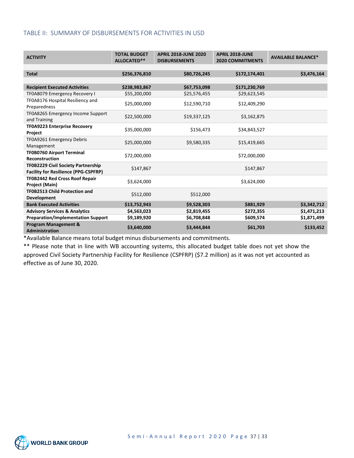#### <span id="page-36-0"></span>TABLE II: SUMMARY OF DISBURSEMENTS FOR ACTIVITIES IN USD

| <b>ACTIVITY</b>                                                                          | <b>TOTAL BUDGET</b><br>ALLOCATED** | <b>APRIL 2018-JUNE 2020</b><br><b>DISBURSEMENTS</b> | <b>APRIL 2018-JUNE</b><br><b>2020 COMMITMENTS</b> | <b>AVAILABLE BALANCE*</b> |
|------------------------------------------------------------------------------------------|------------------------------------|-----------------------------------------------------|---------------------------------------------------|---------------------------|
|                                                                                          |                                    |                                                     |                                                   |                           |
| <b>Total</b>                                                                             | \$256,376,810                      | \$80,726,245                                        | \$172,174,401                                     | \$3,476,164               |
|                                                                                          |                                    |                                                     |                                                   |                           |
| <b>Recipient Executed Activities</b>                                                     | \$238,983,867                      | \$67,753,098                                        | \$171,230,769                                     |                           |
| TF0A8079 Emergency Recovery I                                                            | \$55,200,000                       | \$25,576,455                                        | \$29,623,545                                      |                           |
| TF0A8176 Hospital Resiliency and<br>Preparedness                                         | \$25,000,000                       | \$12,590,710                                        | \$12,409,290                                      |                           |
| TF0A8265 Emergency Income Support<br>and Training                                        | \$22,500,000                       | \$19,337,125                                        | \$3,162,875                                       |                           |
| <b>TF0A9223 Enterprise Recovery</b><br>Project                                           | \$35,000,000                       | \$156,473                                           | \$34,843,527                                      |                           |
| TF0A9261 Emergency Debris<br>Management                                                  | \$25,000,000                       | \$9,580,335                                         | \$15,419,665                                      |                           |
| <b>TF0B0760 Airport Terminal</b><br><b>Reconstruction</b>                                | \$72,000,000                       |                                                     | \$72,000,000                                      |                           |
| <b>TF0B2229 Civil Society Partnership</b><br><b>Facility for Resilience (PPG-CSPFRP)</b> | \$147,867                          |                                                     | \$147,867                                         |                           |
| <b>TF0B2442 Red Cross Roof Repair</b><br><b>Project (Main)</b>                           | \$3,624,000                        |                                                     | \$3,624,000                                       |                           |
| <b>TF0B2513 Child Protection and</b><br><b>Development</b>                               | \$512,000                          | \$512,000                                           |                                                   |                           |
| <b>Bank Executed Activities</b>                                                          | \$13,752,943                       | \$9,528,303                                         | \$881,929                                         | \$3,342,712               |
| <b>Advisory Services &amp; Analytics</b>                                                 | \$4,563,023                        | \$2,819,455                                         | \$272,355                                         | \$1,471,213               |
| <b>Preparation/Implementation Support</b>                                                | \$9,189,920                        | \$6,708,848                                         | \$609,574                                         | \$1,871,499               |
| <b>Program Management &amp;</b><br><b>Administration</b>                                 | \$3,640,000                        | \$3,444,844                                         | \$61,703                                          | \$133,452                 |

\*Available Balance means total budget minus disbursements and commitments.

\*\* Please note that in line with WB accounting systems, this allocated budget table does not yet show the approved Civil Society Partnership Facility for Resilience (CSPFRP) (\$7.2 million) as it was not yet accounted as effective as of June 30, 2020.